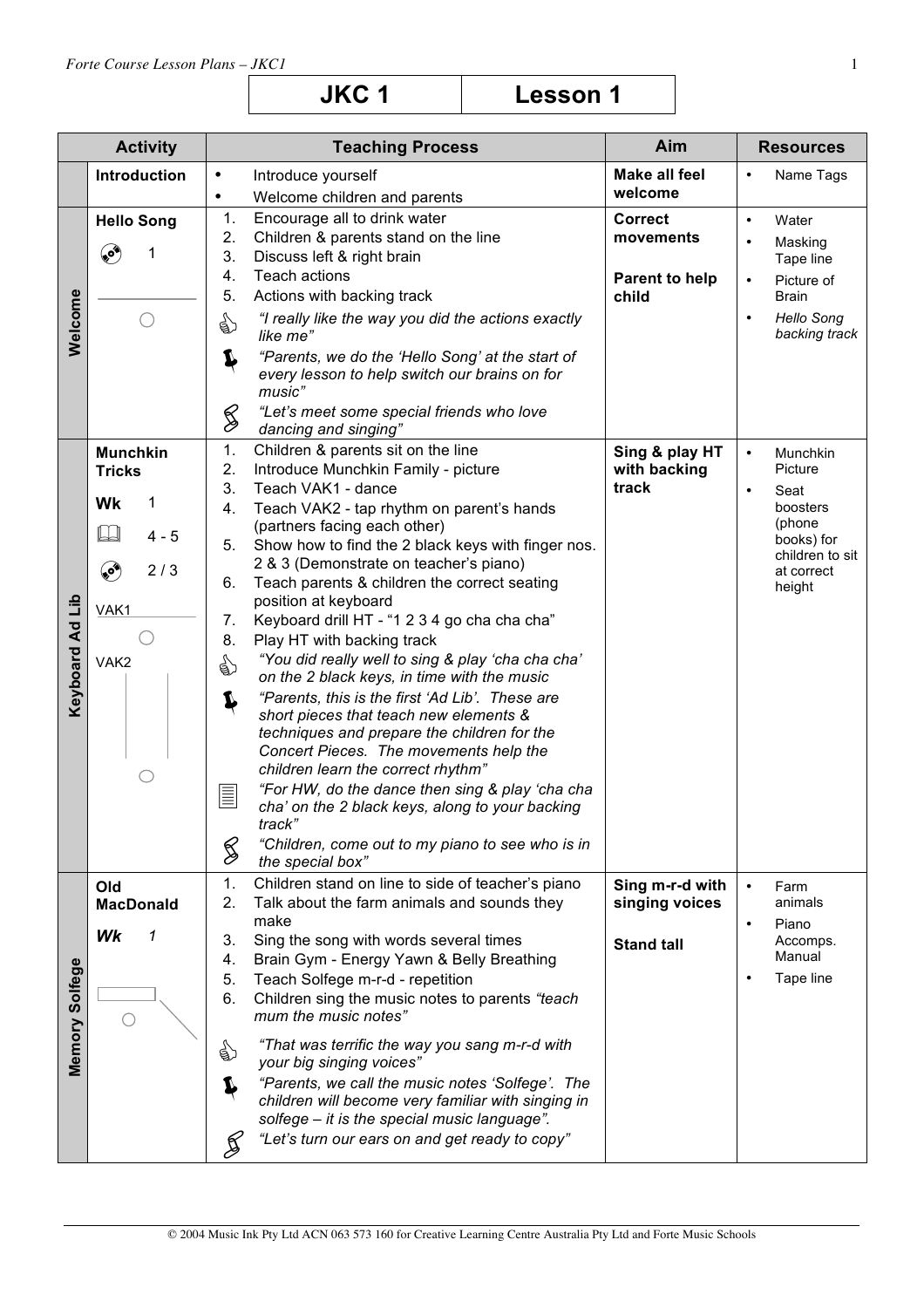| JKC <sub>1</sub> | <b>Lesson 1</b> |
|------------------|-----------------|
|------------------|-----------------|

|                    | <b>Activity</b>   | <b>Teaching Process</b>                                                                                          | Aim                            | <b>Resources</b>                                |
|--------------------|-------------------|------------------------------------------------------------------------------------------------------------------|--------------------------------|-------------------------------------------------|
|                    | Introduction      | Introduce yourself<br>$\bullet$                                                                                  | <b>Make all feel</b>           | Name Tags<br>$\bullet$                          |
|                    |                   | Welcome children and parents<br>$\bullet$                                                                        | welcome                        |                                                 |
|                    | <b>Hello Song</b> | 1.<br>Encourage all to drink water                                                                               | <b>Correct</b>                 | Water<br>$\bullet$                              |
|                    |                   | 2.<br>Children & parents stand on the line                                                                       | movements                      | Masking<br>$\bullet$                            |
|                    | پې<br>1           | 3.<br>Discuss left & right brain<br><b>Teach actions</b>                                                         |                                | Tape line                                       |
|                    |                   | 4.<br>5.<br>Actions with backing track                                                                           | <b>Parent to help</b><br>child | Picture of<br>$\bullet$<br>Brain                |
| Welcome            |                   | "I really like the way you did the actions exactly<br>☝<br>like me"                                              |                                | <b>Hello Song</b><br>$\bullet$<br>backing track |
|                    |                   | "Parents, we do the 'Hello Song' at the start of<br>Ļ<br>every lesson to help switch our brains on for<br>music" |                                |                                                 |
|                    |                   | "Let's meet some special friends who love<br>§<br>dancing and singing"                                           |                                |                                                 |
|                    | <b>Munchkin</b>   | 1.<br>Children & parents sit on the line                                                                         | Sing & play HT                 | Munchkin<br>$\bullet$                           |
|                    | <b>Tricks</b>     | 2.<br>Introduce Munchkin Family - picture<br>3.<br>Teach VAK1 - dance                                            | with backing<br>track          | Picture                                         |
|                    | Wk<br>1           | 4.<br>Teach VAK2 - tap rhythm on parent's hands                                                                  |                                | Seat<br>boosters                                |
|                    | $4 - 5$           | (partners facing each other)                                                                                     |                                | (phone                                          |
|                    |                   | Show how to find the 2 black keys with finger nos.<br>5.                                                         |                                | books) for<br>children to sit                   |
|                    | ۹<br>2/3          | 2 & 3 (Demonstrate on teacher's piano)<br>Teach parents & children the correct seating<br>6.                     |                                | at correct<br>height                            |
| dil                | VAK1              | position at keyboard                                                                                             |                                |                                                 |
|                    |                   | 7.<br>Keyboard drill HT - "1 2 3 4 go cha cha cha"                                                               |                                |                                                 |
|                    |                   | 8.<br>Play HT with backing track<br>"You did really well to sing & play 'cha cha cha'                            |                                |                                                 |
|                    | VAK <sub>2</sub>  | ☝<br>on the 2 black keys, in time with the music                                                                 |                                |                                                 |
| <b>Keyboard Ad</b> |                   | "Parents, this is the first 'Ad Lib'. These are<br>Ļ                                                             |                                |                                                 |
|                    |                   | short pieces that teach new elements &                                                                           |                                |                                                 |
|                    |                   | techniques and prepare the children for the<br>Concert Pieces. The movements help the                            |                                |                                                 |
|                    |                   | children learn the correct rhythm"                                                                               |                                |                                                 |
|                    |                   | "For HW, do the dance then sing & play 'cha cha<br>E                                                             |                                |                                                 |
|                    |                   | cha' on the 2 black keys, along to your backing<br>track                                                         |                                |                                                 |
|                    |                   | "Children, come out to my piano to see who is in                                                                 |                                |                                                 |
|                    |                   | S<br>the special box"                                                                                            |                                |                                                 |
|                    | Old               | Children stand on line to side of teacher's piano<br>1.                                                          | Sing m-r-d with                | $\bullet$<br>Farm                               |
|                    | <b>MacDonald</b>  | Talk about the farm animals and sounds they<br>2.<br>make                                                        | singing voices                 | animals                                         |
|                    | Wk<br>1           | Sing the song with words several times<br>3.                                                                     | <b>Stand tall</b>              | Piano<br>$\bullet$<br>Accomps.                  |
|                    |                   | Brain Gym - Energy Yawn & Belly Breathing<br>4.                                                                  |                                | Manual                                          |
|                    |                   | Teach Solfege m-r-d - repetition<br>5.                                                                           |                                | Tape line<br>$\bullet$                          |
|                    | С.                | Children sing the music notes to parents "teach<br>6.<br>mum the music notes"                                    |                                |                                                 |
| Memory Solfege     |                   | "That was terrific the way you sang m-r-d with<br>€                                                              |                                |                                                 |
|                    |                   | your big singing voices"<br>"Parents, we call the music notes 'Solfege'. The                                     |                                |                                                 |
|                    |                   | children will become very familiar with singing in                                                               |                                |                                                 |
|                    |                   | solfege - it is the special music language".                                                                     |                                |                                                 |
|                    |                   | "Let's turn our ears on and get ready to copy"<br>≸                                                              |                                |                                                 |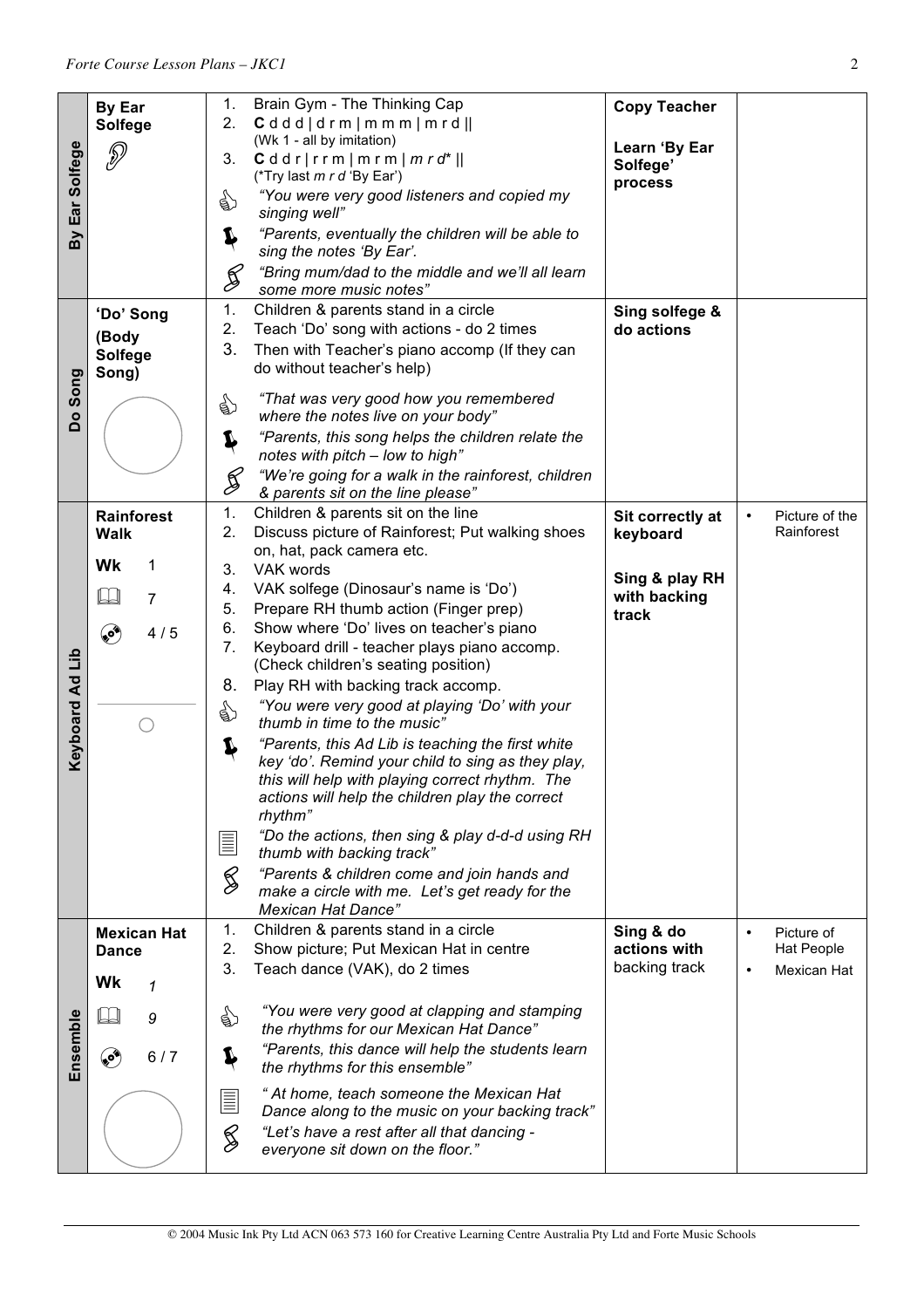| Ear Solfege<br>Βy | <b>By Ear</b><br><b>Solfege</b><br>P                                                 | Brain Gym - The Thinking Cap<br>1.<br>Cdddd/drm/m/mmm/mrd  <br>2.<br>(Wk 1 - all by imitation)<br>$Cddr rrm mrm mrd*  $<br>3.<br>(*Try last m r d 'By Ear')<br>"You were very good listeners and copied my<br>☝<br>singing well"<br>"Parents, eventually the children will be able to<br>J<br>sing the notes 'By Ear'.<br>"Bring mum/dad to the middle and we'll all learn<br>Š<br>some more music notes"                                                                                                                                                                                                                                                                                                                                                                                                                                                                                                                                                                                                    | <b>Copy Teacher</b><br>Learn 'By Ear<br>Solfege'<br>process                                                          |
|-------------------|--------------------------------------------------------------------------------------|--------------------------------------------------------------------------------------------------------------------------------------------------------------------------------------------------------------------------------------------------------------------------------------------------------------------------------------------------------------------------------------------------------------------------------------------------------------------------------------------------------------------------------------------------------------------------------------------------------------------------------------------------------------------------------------------------------------------------------------------------------------------------------------------------------------------------------------------------------------------------------------------------------------------------------------------------------------------------------------------------------------|----------------------------------------------------------------------------------------------------------------------|
| Song<br><b>Do</b> | 'Do' Song<br>(Body<br><b>Solfege</b><br>Song)                                        | 1.<br>Children & parents stand in a circle<br>2.<br>Teach 'Do' song with actions - do 2 times<br>3.<br>Then with Teacher's piano accomp (If they can<br>do without teacher's help)<br>"That was very good how you remembered<br>☝<br>where the notes live on your body"<br>"Parents, this song helps the children relate the<br>Ļ<br>notes with pitch - low to high"<br>"We're going for a walk in the rainforest, children<br>$\mathcal{G}% _{0}^{(n)}:=\mathcal{G}_{0}^{(n)}$<br>& parents sit on the line please"                                                                                                                                                                                                                                                                                                                                                                                                                                                                                         | Sing solfege &<br>do actions                                                                                         |
| Keyboard Ad Lib   | <b>Rainforest</b><br><b>Walk</b><br>Wk<br>1<br>$\Box$<br>$\overline{7}$<br>کې<br>4/5 | 1.<br>Children & parents sit on the line<br>2.<br>Discuss picture of Rainforest; Put walking shoes<br>on, hat, pack camera etc.<br>VAK words<br>3.<br>VAK solfege (Dinosaur's name is 'Do')<br>4.<br>5.<br>Prepare RH thumb action (Finger prep)<br>Show where 'Do' lives on teacher's piano<br>6.<br>7.<br>Keyboard drill - teacher plays piano accomp.<br>(Check children's seating position)<br>8.<br>Play RH with backing track accomp.<br>"You were very good at playing 'Do' with your<br>☝<br>thumb in time to the music"<br>"Parents, this Ad Lib is teaching the first white<br>Ļ<br>key 'do'. Remind your child to sing as they play,<br>this will help with playing correct rhythm. The<br>actions will help the children play the correct<br>rhythm"<br>"Do the actions, then sing & play d-d-d using RH<br>$\equiv$<br>thumb with backing track"<br>$\mathscr{G}$<br>"Parents & children come and join hands and<br>make a circle with me. Let's get ready for the<br><b>Mexican Hat Dance"</b> | Sit correctly at<br>Picture of the<br>$\bullet$<br>Rainforest<br>keyboard<br>Sing & play RH<br>with backing<br>track |
| Ensemble          | <b>Mexican Hat</b><br><b>Dance</b><br>Wk<br>1<br>9<br>ی<br>6/7                       | Children & parents stand in a circle<br>1.<br>Show picture; Put Mexican Hat in centre<br>2.<br>3.<br>Teach dance (VAK), do 2 times<br>"You were very good at clapping and stamping<br>€<br>the rhythms for our Mexican Hat Dance"<br>"Parents, this dance will help the students learn<br>Ļ<br>the rhythms for this ensemble"<br>" At home, teach someone the Mexican Hat<br>E<br>Dance along to the music on your backing track"<br>S<br>"Let's have a rest after all that dancing -<br>everyone sit down on the floor."                                                                                                                                                                                                                                                                                                                                                                                                                                                                                    | Sing & do<br>Picture of<br>$\bullet$<br>actions with<br>Hat People<br>backing track<br>Mexican Hat<br>$\bullet$      |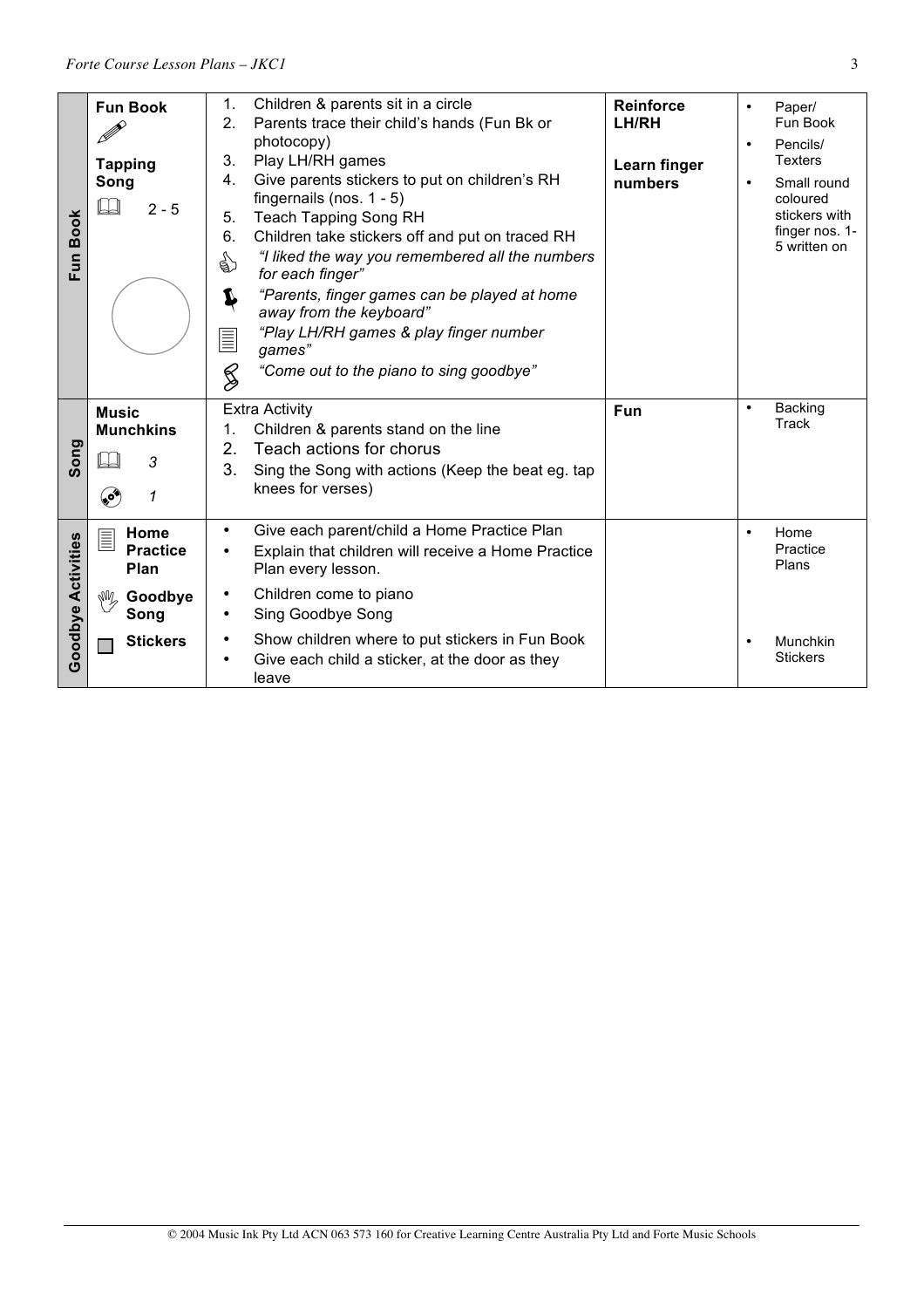| Fun Book           | <b>Fun Book</b><br><b>Tapping</b><br>Song<br>$2 - 5$                                   | Children & parents sit in a circle<br>1.<br>2.<br>Parents trace their child's hands (Fun Bk or<br>photocopy)<br>Play LH/RH games<br>3.<br>Give parents stickers to put on children's RH<br>4.<br>fingernails (nos. $1 - 5$ )<br><b>Teach Tapping Song RH</b><br>5.<br>6.<br>Children take stickers off and put on traced RH<br>"I liked the way you remembered all the numbers<br>☝<br>for each finger"<br>"Parents, finger games can be played at home<br>J<br>away from the keyboard"<br>"Play LH/RH games & play finger number<br>$\equiv$<br>games"<br>$\frac{2}{2}$<br>"Come out to the piano to sing goodbye" | <b>Reinforce</b><br>LH/RH<br>Learn finger<br>numbers | Paper/<br>$\bullet$<br>Fun Book<br>Pencils/<br>$\bullet$<br><b>Texters</b><br>Small round<br>$\bullet$<br>coloured<br>stickers with<br>finger nos. 1-<br>5 written on |
|--------------------|----------------------------------------------------------------------------------------|---------------------------------------------------------------------------------------------------------------------------------------------------------------------------------------------------------------------------------------------------------------------------------------------------------------------------------------------------------------------------------------------------------------------------------------------------------------------------------------------------------------------------------------------------------------------------------------------------------------------|------------------------------------------------------|-----------------------------------------------------------------------------------------------------------------------------------------------------------------------|
| Song               | <b>Music</b><br><b>Munchkins</b><br>3<br>ەي<br>1                                       | <b>Extra Activity</b><br>Children & parents stand on the line<br>1.<br>Teach actions for chorus<br>2.<br>3.<br>Sing the Song with actions (Keep the beat eg. tap<br>knees for verses)                                                                                                                                                                                                                                                                                                                                                                                                                               | <b>Fun</b>                                           | Backing<br>$\bullet$<br><b>Track</b>                                                                                                                                  |
| Goodbye Activities | Home<br>$\equiv$<br><b>Practice</b><br>Plan<br>$\sqrt[3]{\frac{1}{2}}$ Goodbye<br>Song | Give each parent/child a Home Practice Plan<br>$\bullet$<br>Explain that children will receive a Home Practice<br>$\bullet$<br>Plan every lesson.<br>Children come to piano<br>$\bullet$<br>Sing Goodbye Song<br>٠                                                                                                                                                                                                                                                                                                                                                                                                  |                                                      | Home<br>$\bullet$<br>Practice<br>Plans                                                                                                                                |
|                    | <b>Stickers</b>                                                                        | Show children where to put stickers in Fun Book<br>٠<br>Give each child a sticker, at the door as they<br>٠<br>leave                                                                                                                                                                                                                                                                                                                                                                                                                                                                                                |                                                      | Munchkin<br>$\bullet$<br><b>Stickers</b>                                                                                                                              |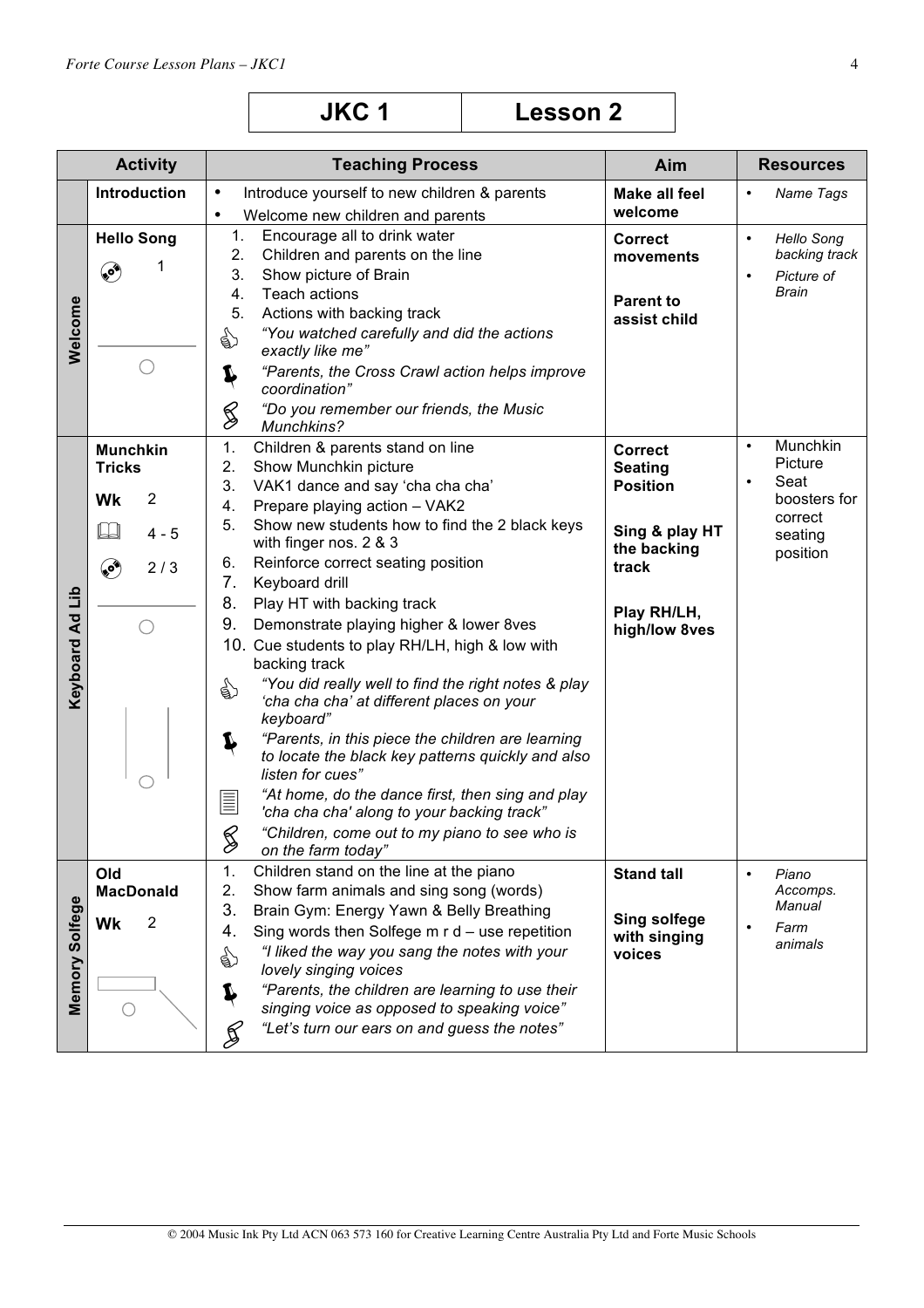| <b>JKC1</b> | <b>Lesson 2</b> |
|-------------|-----------------|
|-------------|-----------------|

|                          | <b>Activity</b>                                                                           | <b>Teaching Process</b>                                                                                                                                                                                                                                                                                                                                                                                                                                                                                                                                                                                                                                                                                                                                                                                                                                                                                                             | Aim                                                                                                                           | <b>Resources</b>                                                                                        |
|--------------------------|-------------------------------------------------------------------------------------------|-------------------------------------------------------------------------------------------------------------------------------------------------------------------------------------------------------------------------------------------------------------------------------------------------------------------------------------------------------------------------------------------------------------------------------------------------------------------------------------------------------------------------------------------------------------------------------------------------------------------------------------------------------------------------------------------------------------------------------------------------------------------------------------------------------------------------------------------------------------------------------------------------------------------------------------|-------------------------------------------------------------------------------------------------------------------------------|---------------------------------------------------------------------------------------------------------|
|                          | Introduction                                                                              | $\bullet$<br>Introduce yourself to new children & parents<br>Welcome new children and parents<br>$\bullet$                                                                                                                                                                                                                                                                                                                                                                                                                                                                                                                                                                                                                                                                                                                                                                                                                          | <b>Make all feel</b><br>welcome                                                                                               | Name Tags<br>$\bullet$                                                                                  |
| Welcome                  | <b>Hello Song</b><br>۵                                                                    | 1.<br>Encourage all to drink water<br>2.<br>Children and parents on the line<br>3.<br>Show picture of Brain<br>4.<br><b>Teach actions</b><br>5.<br>Actions with backing track<br>"You watched carefully and did the actions<br>☝<br>exactly like me"<br>"Parents, the Cross Crawl action helps improve<br>Ļ<br>coordination"<br>S<br>"Do you remember our friends, the Music<br>Munchkins?                                                                                                                                                                                                                                                                                                                                                                                                                                                                                                                                          | <b>Correct</b><br>movements<br><b>Parent to</b><br>assist child                                                               | Hello Song<br>$\bullet$<br>backing track<br>Picture of<br>$\bullet$<br><b>Brain</b>                     |
| di<br><b>Keyboard Ad</b> | <b>Munchkin</b><br><b>Tricks</b><br>$\overline{2}$<br>Wk<br>$\Box$<br>$4 - 5$<br>۴<br>2/3 | 1.<br>Children & parents stand on line<br>2.<br>Show Munchkin picture<br>3.<br>VAK1 dance and say 'cha cha cha'<br>4.<br>Prepare playing action - VAK2<br>5.<br>Show new students how to find the 2 black keys<br>with finger nos. 2 & 3<br>Reinforce correct seating position<br>6.<br>7.<br>Keyboard drill<br>8.<br>Play HT with backing track<br>9.<br>Demonstrate playing higher & lower 8ves<br>10. Cue students to play RH/LH, high & low with<br>backing track<br>"You did really well to find the right notes & play<br>☝<br>'cha cha cha' at different places on your<br>keyboard"<br>"Parents, in this piece the children are learning<br>Ļ<br>to locate the black key patterns quickly and also<br>listen for cues"<br>"At home, do the dance first, then sing and play<br>$\equiv$<br>'cha cha cha' along to your backing track"<br>$\bigotimes$<br>"Children, come out to my piano to see who is<br>on the farm today" | <b>Correct</b><br><b>Seating</b><br><b>Position</b><br>Sing & play HT<br>the backing<br>track<br>Play RH/LH,<br>high/low 8ves | Munchkin<br>$\bullet$<br>Picture<br>Seat<br>$\bullet$<br>boosters for<br>correct<br>seating<br>position |
| Memory Solfege           | Old<br><b>MacDonald</b><br>$\overline{2}$<br>Wk<br>∩                                      | Children stand on the line at the piano<br>1.<br>2.<br>Show farm animals and sing song (words)<br>3.<br>Brain Gym: Energy Yawn & Belly Breathing<br>4.<br>Sing words then Solfege $m r d$ – use repetition<br>"I liked the way you sang the notes with your<br>☝<br>lovely singing voices<br>"Parents, the children are learning to use their<br>T<br>singing voice as opposed to speaking voice"<br>"Let's turn our ears on and guess the notes"<br>≸                                                                                                                                                                                                                                                                                                                                                                                                                                                                              | <b>Stand tall</b><br><b>Sing solfege</b><br>with singing<br>voices                                                            | $\bullet$<br>Piano<br>Accomps.<br>Manual<br>Farm<br>$\bullet$<br>animals                                |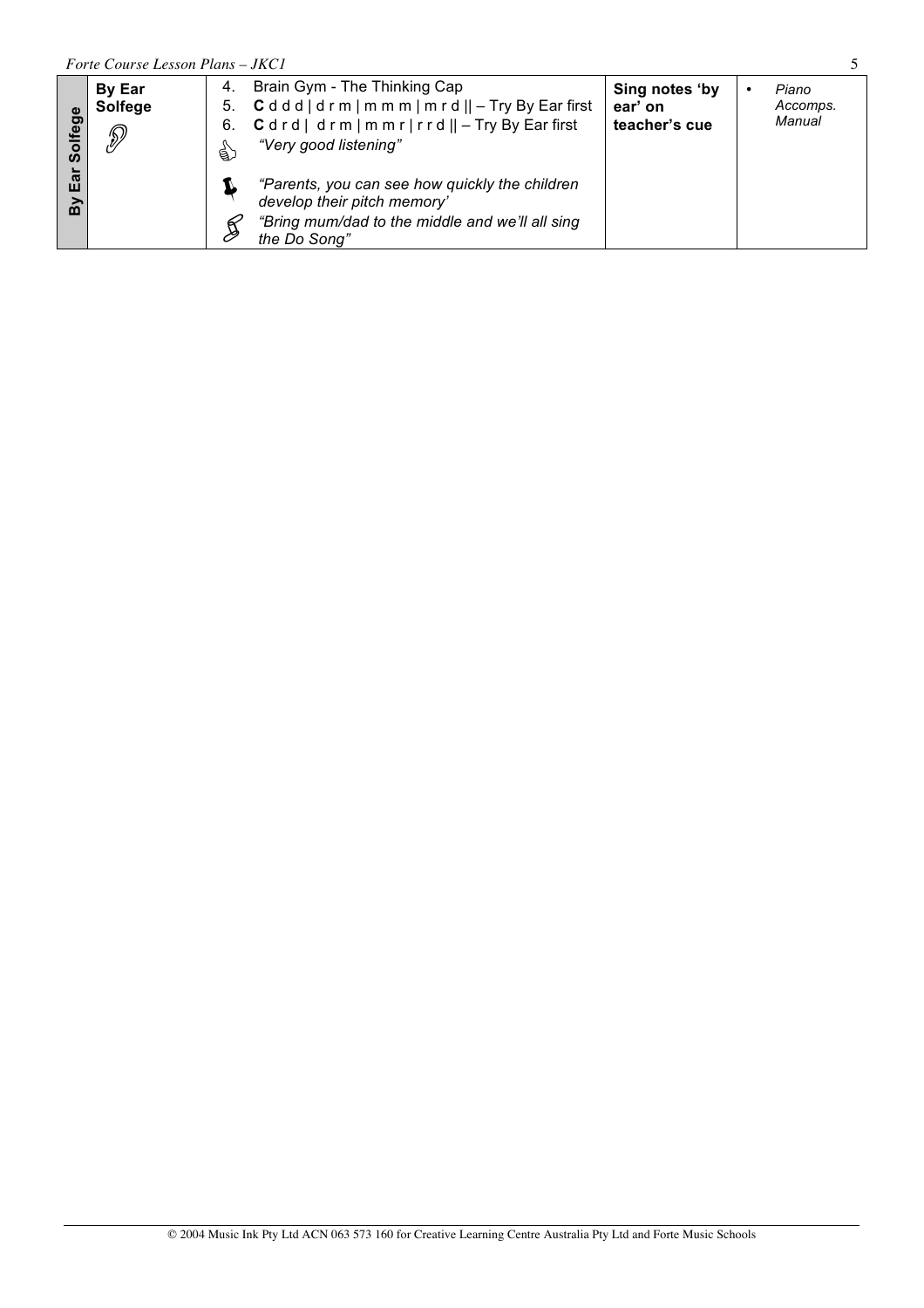|                         | Forte Course Lesson Plans - JKC1     |               |                                                                                                                                                                      |                                            |  |                             |  |  |
|-------------------------|--------------------------------------|---------------|----------------------------------------------------------------------------------------------------------------------------------------------------------------------|--------------------------------------------|--|-----------------------------|--|--|
| fege<br>နိ              | <b>By Ear</b><br><b>Solfege</b><br>D | 4.<br>6.<br>€ | Brain Gym - The Thinking Cap<br>5. $Cddd  drm  m m m  m r d   $ – Try By Ear first<br>$C dr d   dr m   m m r   r r d    - Try By Ear first$<br>"Very good listening" | Sing notes 'by<br>ear' on<br>teacher's cue |  | Piano<br>Accomps.<br>Manual |  |  |
| $\overline{\mathbf{a}}$ |                                      |               | "Parents, you can see how quickly the children<br>develop their pitch memory'<br>"Bring mum/dad to the middle and we'll all sing<br>the Do Song"                     |                                            |  |                             |  |  |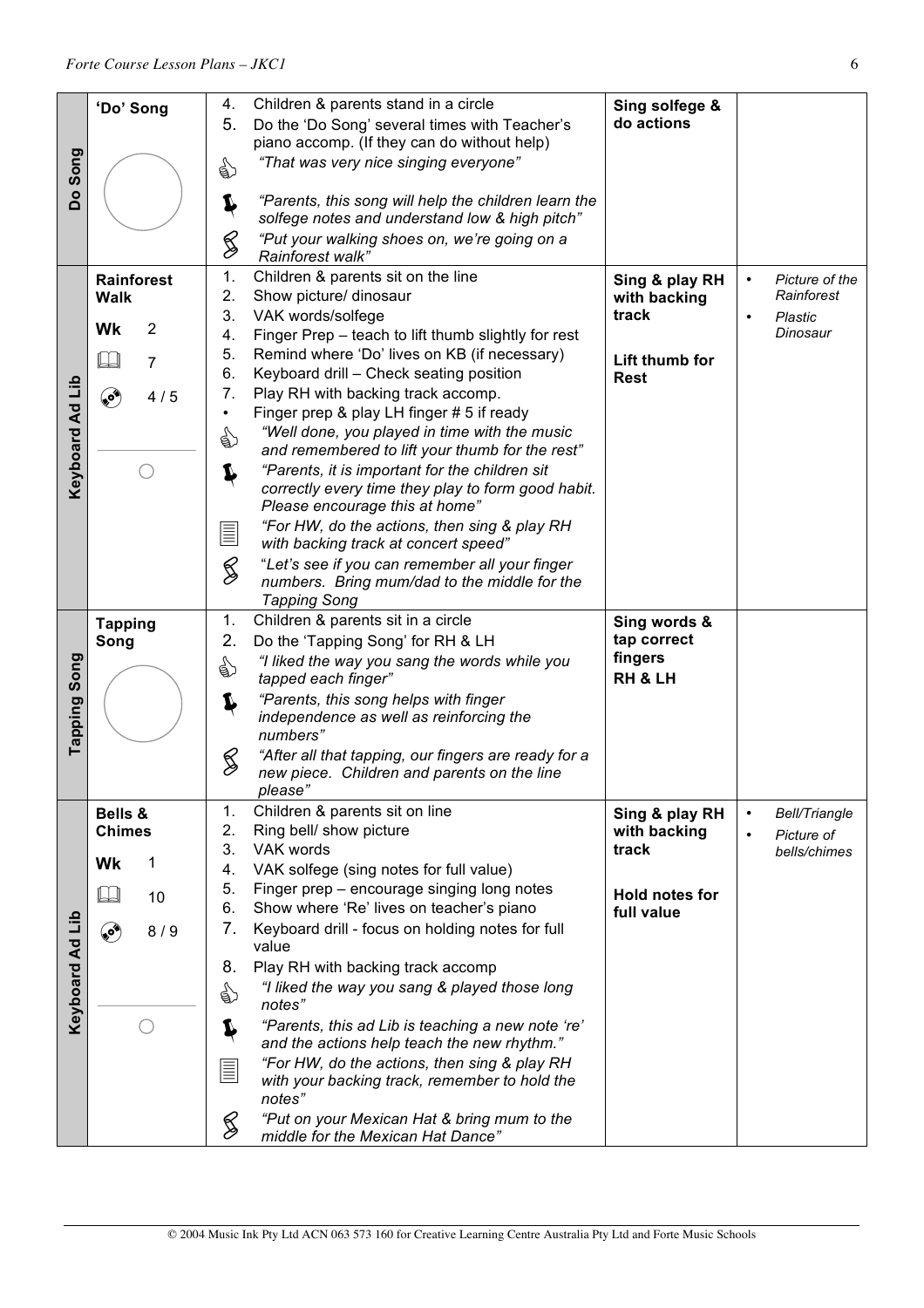|                 | 'Do' Song                | 4.            | Children & parents stand in a circle                                                                | Sing solfege &                 |                                         |
|-----------------|--------------------------|---------------|-----------------------------------------------------------------------------------------------------|--------------------------------|-----------------------------------------|
|                 |                          | 5.            | Do the 'Do Song' several times with Teacher's                                                       | do actions                     |                                         |
| Do Song         |                          |               | piano accomp. (If they can do without help)                                                         |                                |                                         |
|                 |                          | €             | "That was very nice singing everyone"                                                               |                                |                                         |
|                 |                          |               |                                                                                                     |                                |                                         |
|                 |                          | I             | "Parents, this song will help the children learn the                                                |                                |                                         |
|                 |                          |               | solfege notes and understand low & high pitch"                                                      |                                |                                         |
|                 |                          | S             | "Put your walking shoes on, we're going on a<br>Rainforest walk"                                    |                                |                                         |
|                 | <b>Rainforest</b>        | 1.            | Children & parents sit on the line                                                                  | Sing & play RH                 | Picture of the<br>$\bullet$             |
|                 | <b>Walk</b>              | 2.            | Show picture/ dinosaur                                                                              | with backing                   | Rainforest                              |
|                 | Wk<br>2                  | 3.            | VAK words/solfege                                                                                   | track                          | $\bullet$<br>Plastic<br>Dinosaur        |
|                 |                          | 4.<br>5.      | Finger Prep - teach to lift thumb slightly for rest<br>Remind where 'Do' lives on KB (if necessary) |                                |                                         |
|                 | $\mathbb{L}$<br>7        | 6.            | Keyboard drill - Check seating position                                                             | Lift thumb for                 |                                         |
|                 | ی<br>4/5                 | 7.            | Play RH with backing track accomp.                                                                  | <b>Rest</b>                    |                                         |
|                 |                          |               | Finger prep & play LH finger # 5 if ready                                                           |                                |                                         |
|                 |                          | ☝             | "Well done, you played in time with the music                                                       |                                |                                         |
|                 |                          |               | and remembered to lift your thumb for the rest"                                                     |                                |                                         |
| Keyboard Ad Lib |                          | Ļ             | "Parents, it is important for the children sit                                                      |                                |                                         |
|                 |                          |               | correctly every time they play to form good habit.<br>Please encourage this at home"                |                                |                                         |
|                 |                          |               | "For HW, do the actions, then sing & play RH                                                        |                                |                                         |
|                 |                          | E             | with backing track at concert speed"                                                                |                                |                                         |
|                 |                          | $\frac{2}{3}$ | "Let's see if you can remember all your finger<br>numbers. Bring mum/dad to the middle for the      |                                |                                         |
|                 |                          |               | <b>Tapping Song</b>                                                                                 |                                |                                         |
|                 | <b>Tapping</b>           | 1.            | Children & parents sit in a circle                                                                  | Sing words &                   |                                         |
|                 | Song                     | 2.            | Do the 'Tapping Song' for RH & LH                                                                   | tap correct                    |                                         |
| Song            |                          | ☝             | "I liked the way you sang the words while you                                                       | fingers                        |                                         |
|                 |                          |               | tapped each finger"                                                                                 | RH & LH                        |                                         |
|                 |                          | Ļ             | "Parents, this song helps with finger<br>independence as well as reinforcing the                    |                                |                                         |
| Tapping         |                          |               | numbers"                                                                                            |                                |                                         |
|                 |                          | S             | "After all that tapping, our fingers are ready for a                                                |                                |                                         |
|                 |                          |               | new piece. Children and parents on the line                                                         |                                |                                         |
|                 |                          |               | please"                                                                                             |                                |                                         |
|                 | Bells &<br><b>Chimes</b> | 1.<br>2.      | Children & parents sit on line<br>Ring bell/ show picture                                           | Sing & play RH<br>with backing | <b>Bell/Triangle</b><br>$\bullet$       |
|                 |                          | 3.            | VAK words                                                                                           | track                          | Picture of<br>$\bullet$<br>bells/chimes |
|                 | Wk<br>1                  | 4.            | VAK solfege (sing notes for full value)                                                             |                                |                                         |
|                 | $\Box$<br>10             | 5.            | Finger prep - encourage singing long notes                                                          | <b>Hold notes for</b>          |                                         |
|                 |                          | 6.            | Show where 'Re' lives on teacher's piano                                                            | full value                     |                                         |
| Keyboard Ad Lib | ۵<br>8/9                 | 7.            | Keyboard drill - focus on holding notes for full<br>value                                           |                                |                                         |
|                 |                          | 8.            | Play RH with backing track accomp                                                                   |                                |                                         |
|                 |                          | ☝             | "I liked the way you sang & played those long                                                       |                                |                                         |
|                 |                          |               | notes"                                                                                              |                                |                                         |
|                 |                          | Ļ             | "Parents, this ad Lib is teaching a new note 're'<br>and the actions help teach the new rhythm."    |                                |                                         |
|                 |                          | <b>ELLER</b>  | "For HW, do the actions, then sing & play RH                                                        |                                |                                         |
|                 |                          |               | with your backing track, remember to hold the                                                       |                                |                                         |
|                 |                          |               | notes"<br>"Put on your Mexican Hat & bring mum to the                                               |                                |                                         |
|                 |                          | $\bigotimes$  | middle for the Mexican Hat Dance"                                                                   |                                |                                         |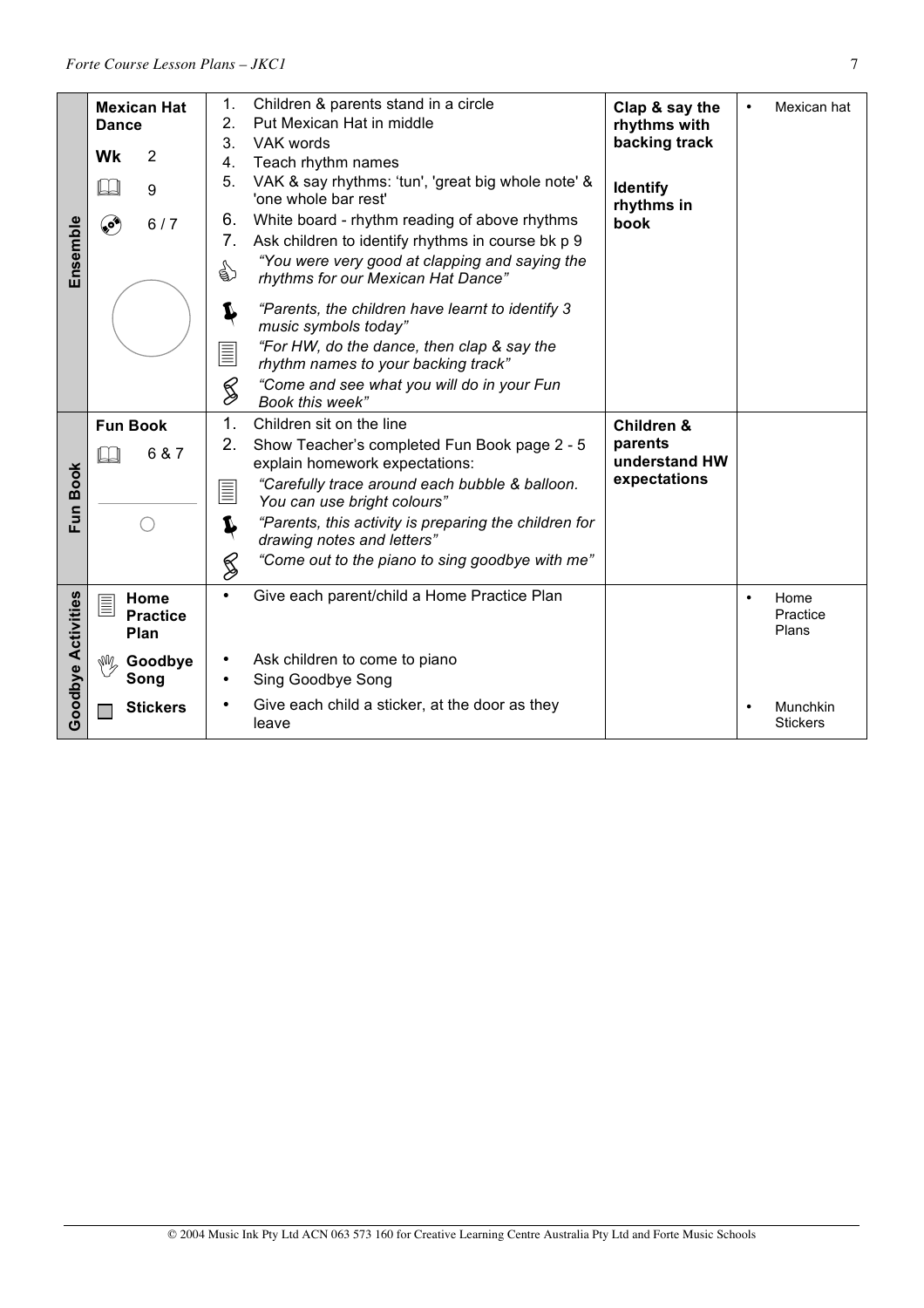|                           | <b>Mexican Hat</b>                   | Children & parents stand in a circle<br>1.                                                | Clap & say the                | Mexican hat<br>$\bullet$               |
|---------------------------|--------------------------------------|-------------------------------------------------------------------------------------------|-------------------------------|----------------------------------------|
|                           | <b>Dance</b>                         | Put Mexican Hat in middle<br>2.                                                           | rhythms with                  |                                        |
|                           |                                      | 3.<br>VAK words                                                                           | backing track                 |                                        |
|                           | 2<br>Wk                              | Teach rhythm names<br>4.                                                                  |                               |                                        |
|                           | 9                                    | 5.<br>VAK & say rhythms: 'tun', 'great big whole note' &<br>'one whole bar rest'          | <b>Identify</b><br>rhythms in |                                        |
|                           | پي<br>6/7                            | White board - rhythm reading of above rhythms<br>6.                                       | book                          |                                        |
|                           |                                      | 7.<br>Ask children to identify rhythms in course bk p 9                                   |                               |                                        |
| Ensemble                  |                                      | "You were very good at clapping and saying the<br>☝<br>rhythms for our Mexican Hat Dance" |                               |                                        |
|                           |                                      | "Parents, the children have learnt to identify 3<br>I<br>music symbols today"             |                               |                                        |
|                           |                                      | "For HW, do the dance, then clap & say the<br>E<br>rhythm names to your backing track"    |                               |                                        |
|                           |                                      | S<br>"Come and see what you will do in your Fun<br>Book this week"                        |                               |                                        |
|                           | <b>Fun Book</b>                      | 1.<br>Children sit on the line                                                            | Children &                    |                                        |
|                           | 6 & 7                                | 2.<br>Show Teacher's completed Fun Book page 2 - 5<br>explain homework expectations:      | parents<br>understand HW      |                                        |
| Fun Book                  |                                      | "Carefully trace around each bubble & balloon.<br>$\equiv$<br>You can use bright colours" | expectations                  |                                        |
|                           |                                      | "Parents, this activity is preparing the children for<br>1<br>drawing notes and letters"  |                               |                                        |
|                           |                                      | "Come out to the piano to sing goodbye with me"<br>§                                      |                               |                                        |
| <b>Goodbye Activities</b> | Home<br>E<br><b>Practice</b><br>Plan | Give each parent/child a Home Practice Plan<br>$\bullet$                                  |                               | Home<br>$\bullet$<br>Practice<br>Plans |
|                           | r Goodbye                            | Ask children to come to piano<br>$\bullet$                                                |                               |                                        |
|                           | Song                                 | Sing Goodbye Song<br>٠                                                                    |                               |                                        |
|                           |                                      | Give each child a sticker, at the door as they                                            |                               |                                        |
|                           | <b>Stickers</b>                      |                                                                                           |                               | Munchkin<br>$\bullet$                  |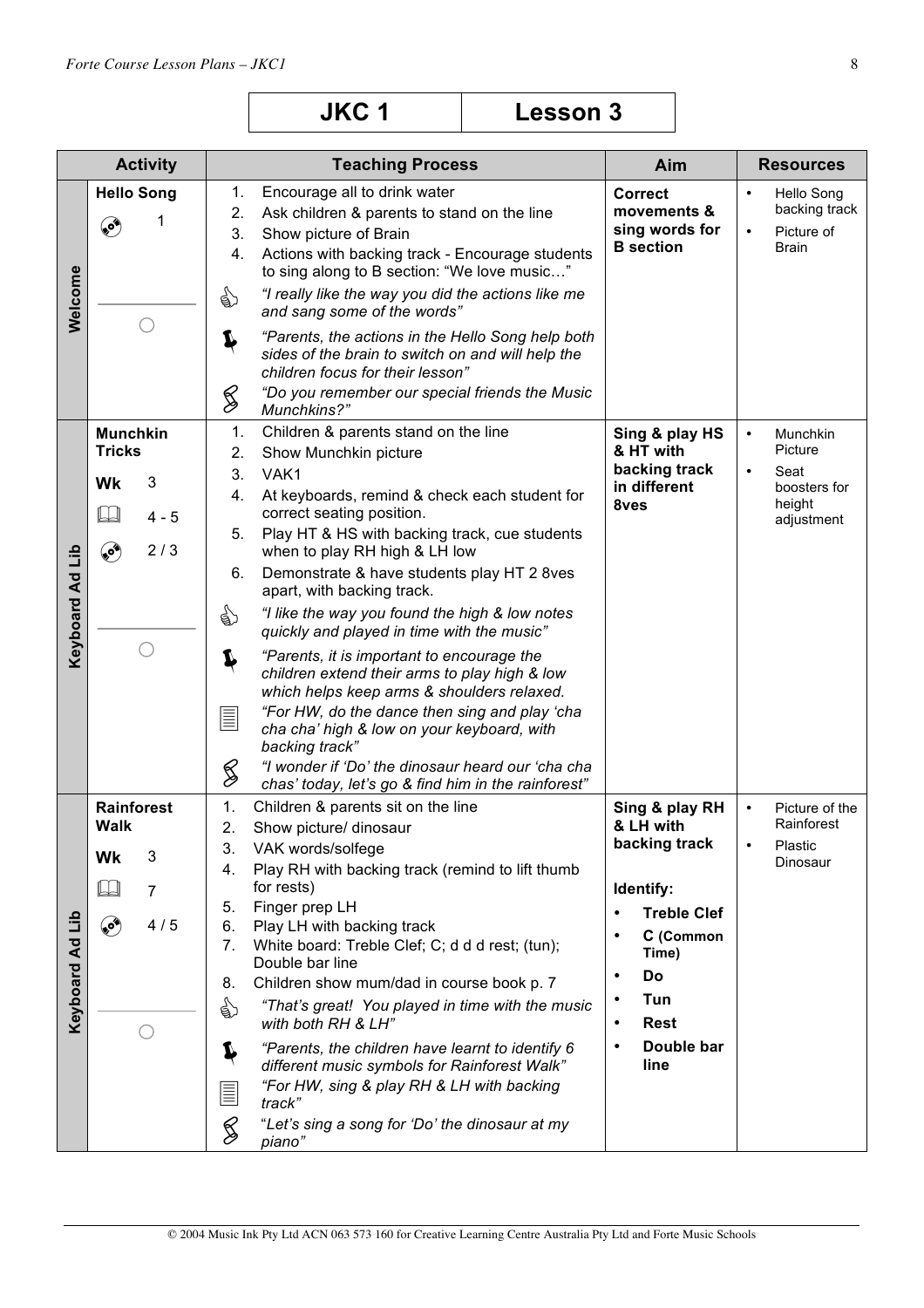|                 | <b>Activity</b>                                         | <b>Teaching Process</b>                                                                                                                                                                                                                                                                                                                                                                                                                                                                                                                                                                                                                                            | Aim                                                                                                                                                          | <b>Resources</b>                                                                    |
|-----------------|---------------------------------------------------------|--------------------------------------------------------------------------------------------------------------------------------------------------------------------------------------------------------------------------------------------------------------------------------------------------------------------------------------------------------------------------------------------------------------------------------------------------------------------------------------------------------------------------------------------------------------------------------------------------------------------------------------------------------------------|--------------------------------------------------------------------------------------------------------------------------------------------------------------|-------------------------------------------------------------------------------------|
| Welcome         | <b>Hello Song</b><br>1<br>۴                             | Encourage all to drink water<br>1.<br>Ask children & parents to stand on the line<br>2.<br>3.<br>Show picture of Brain<br>4.<br>Actions with backing track - Encourage students<br>to sing along to B section: "We love music"<br>☝<br>"I really like the way you did the actions like me<br>and sang some of the words"<br>"Parents, the actions in the Hello Song help both<br>Ļ<br>sides of the brain to switch on and will help the                                                                                                                                                                                                                            | <b>Correct</b><br>movements &<br>sing words for<br><b>B</b> section                                                                                          | Hello Song<br>$\bullet$<br>backing track<br>Picture of<br>$\bullet$<br><b>Brain</b> |
|                 | <b>Munchkin</b>                                         | children focus for their lesson"<br>"Do you remember our special friends the Music<br>S<br>Munchkins?"<br>1.<br>Children & parents stand on the line                                                                                                                                                                                                                                                                                                                                                                                                                                                                                                               | Sing & play HS                                                                                                                                               | Munchkin<br>$\bullet$                                                               |
| Keyboard Ad Lib | <b>Tricks</b><br>3<br>Wk<br>$\square$<br>$4 - 5$<br>2/3 | Show Munchkin picture<br>2.<br>3.<br>VAK1<br>At keyboards, remind & check each student for<br>4.<br>correct seating position.<br>5.<br>Play HT & HS with backing track, cue students<br>when to play RH high & LH low                                                                                                                                                                                                                                                                                                                                                                                                                                              | & HT with<br>backing track<br>in different<br>8ves                                                                                                           | Picture<br>Seat<br>$\bullet$<br>boosters for<br>height<br>adjustment                |
|                 | ۹                                                       | 6.<br>Demonstrate & have students play HT 2 8ves<br>apart, with backing track.<br>☝<br>"I like the way you found the high & low notes<br>quickly and played in time with the music"<br>"Parents, it is important to encourage the<br>Ļ                                                                                                                                                                                                                                                                                                                                                                                                                             |                                                                                                                                                              |                                                                                     |
|                 |                                                         | children extend their arms to play high & low<br>which helps keep arms & shoulders relaxed.<br>"For HW, do the dance then sing and play 'cha<br>$\equiv$<br>cha cha' high & low on your keyboard, with<br>backing track"<br>"I wonder if 'Do' the dinosaur heard our 'cha cha<br>S<br>chas' today, let's go & find him in the rainforest"                                                                                                                                                                                                                                                                                                                          |                                                                                                                                                              |                                                                                     |
|                 | <b>Rainforest</b>                                       | Children & parents sit on the line<br>1.                                                                                                                                                                                                                                                                                                                                                                                                                                                                                                                                                                                                                           | Sing & play RH                                                                                                                                               | Picture of the<br>$\bullet$                                                         |
| Keyboard Ad Lib | <b>Walk</b><br>3<br>Wk<br>7<br>کې<br>4/5                | 2.<br>Show picture/ dinosaur<br>3.<br>VAK words/solfege<br>Play RH with backing track (remind to lift thumb<br>4.<br>for rests)<br>Finger prep LH<br>5.<br>6.<br>Play LH with backing track<br>7 <sub>1</sub><br>White board: Treble Clef; C; d d d rest; (tun);<br>Double bar line<br>Children show mum/dad in course book p. 7<br>8.<br>☝<br>"That's great! You played in time with the music<br>with both RH & LH"<br>"Parents, the children have learnt to identify 6<br>Ļ<br>different music symbols for Rainforest Walk"<br>"For HW, sing & play RH & LH with backing<br><u>E</u><br>track"<br>§<br>"Let's sing a song for 'Do' the dinosaur at my<br>piano" | & LH with<br>backing track<br>Identify:<br><b>Treble Clef</b><br>C (Common<br>Time)<br>Do<br>٠<br>Tun<br><b>Rest</b><br>$\bullet$<br>Double bar<br>٠<br>line | Rainforest<br>Plastic<br>$\bullet$<br>Dinosaur                                      |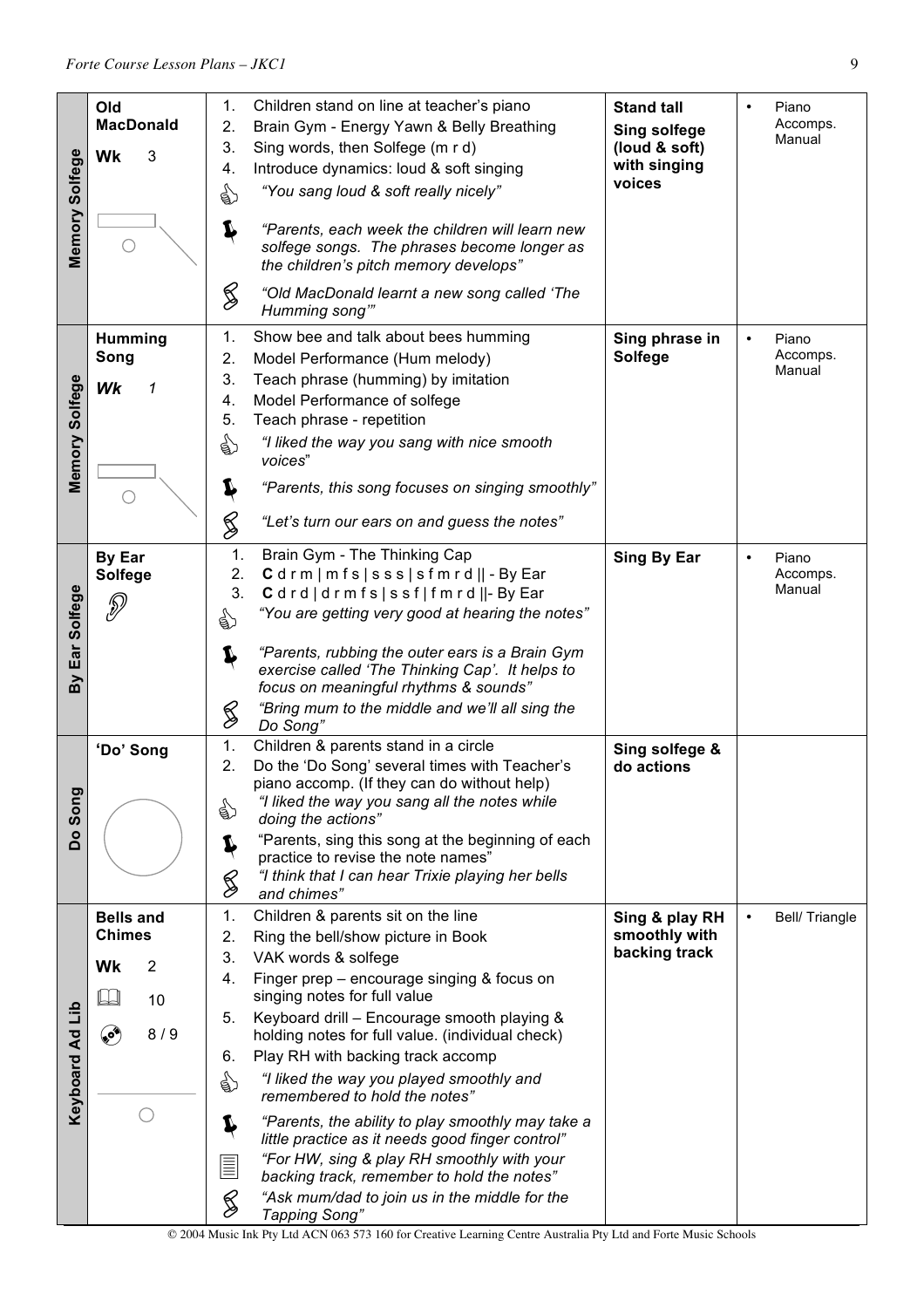| Memory Solfege           | Old<br><b>MacDonald</b><br>Wk<br>3<br>∩                                              | 1.<br>2.<br>3.<br>4.<br>☝<br>Ļ<br>§                                         | Children stand on line at teacher's piano<br>Brain Gym - Energy Yawn & Belly Breathing<br>Sing words, then Solfege (m r d)<br>Introduce dynamics: loud & soft singing<br>"You sang loud & soft really nicely"<br>"Parents, each week the children will learn new<br>solfege songs. The phrases become longer as<br>the children's pitch memory develops"<br>"Old MacDonald learnt a new song called 'The<br>Humming song"                                                                                                                                                                                                                                                        | <b>Stand tall</b><br><b>Sing solfege</b><br>(loud & soft)<br>with singing<br>voices | Piano<br>Accomps.<br>Manual              |
|--------------------------|--------------------------------------------------------------------------------------|-----------------------------------------------------------------------------|----------------------------------------------------------------------------------------------------------------------------------------------------------------------------------------------------------------------------------------------------------------------------------------------------------------------------------------------------------------------------------------------------------------------------------------------------------------------------------------------------------------------------------------------------------------------------------------------------------------------------------------------------------------------------------|-------------------------------------------------------------------------------------|------------------------------------------|
| Memory Solfege           | Humming<br>Song<br>Wk<br>1                                                           | 1.<br>2.<br>3.<br>4.<br>5.<br>☝<br>Ļ<br>§                                   | Show bee and talk about bees humming<br>Model Performance (Hum melody)<br>Teach phrase (humming) by imitation<br>Model Performance of solfege<br>Teach phrase - repetition<br>"I liked the way you sang with nice smooth<br>voices"<br>"Parents, this song focuses on singing smoothly"<br>"Let's turn our ears on and guess the notes"                                                                                                                                                                                                                                                                                                                                          | Sing phrase in<br><b>Solfege</b>                                                    | Piano<br>$\bullet$<br>Accomps.<br>Manual |
| Ear Solfege<br>δ         | <b>By Ear</b><br>Solfege<br>P                                                        | 1.<br>2.<br>3.<br>☝<br>Ļ<br>S                                               | Brain Gym - The Thinking Cap<br>Cdrm   mfs   sss   sfmrd    - By Ear<br>Cdrd drmfs ssf fmrd  -ByEar<br>"You are getting very good at hearing the notes"<br>"Parents, rubbing the outer ears is a Brain Gym<br>exercise called 'The Thinking Cap'. It helps to<br>focus on meaningful rhythms & sounds"<br>"Bring mum to the middle and we'll all sing the<br>Do Song"                                                                                                                                                                                                                                                                                                            | Sing By Ear                                                                         | Piano<br>$\bullet$<br>Accomps.<br>Manual |
| Song<br>å                | 'Do' Song                                                                            | 1.<br>2.<br>☝<br>Ļ<br>S                                                     | Children & parents stand in a circle<br>Do the 'Do Song' several times with Teacher's<br>piano accomp. (If they can do without help)<br>"I liked the way you sang all the notes while<br>doing the actions"<br>"Parents, sing this song at the beginning of each<br>practice to revise the note names"<br>"I think that I can hear Trixie playing her bells<br>and chimes"                                                                                                                                                                                                                                                                                                       | Sing solfege &<br>do actions                                                        |                                          |
| di<br><b>Keyboard Ad</b> | <b>Bells and</b><br><b>Chimes</b><br>$\overline{\mathbf{c}}$<br>Wk<br>10<br>❤<br>8/9 | 1.<br>2.<br>3.<br>4.<br>5.<br>6.<br>€<br>Ļ<br><b>TILLE</b><br>$\mathscr{G}$ | Children & parents sit on the line<br>Ring the bell/show picture in Book<br>VAK words & solfege<br>Finger prep - encourage singing & focus on<br>singing notes for full value<br>Keyboard drill - Encourage smooth playing &<br>holding notes for full value. (individual check)<br>Play RH with backing track accomp<br>"I liked the way you played smoothly and<br>remembered to hold the notes"<br>"Parents, the ability to play smoothly may take a<br>little practice as it needs good finger control"<br>"For HW, sing & play RH smoothly with your<br>backing track, remember to hold the notes"<br>"Ask mum/dad to join us in the middle for the<br><b>Tapping Song"</b> | Sing & play RH<br>smoothly with<br>backing track                                    | Bell/Triangle                            |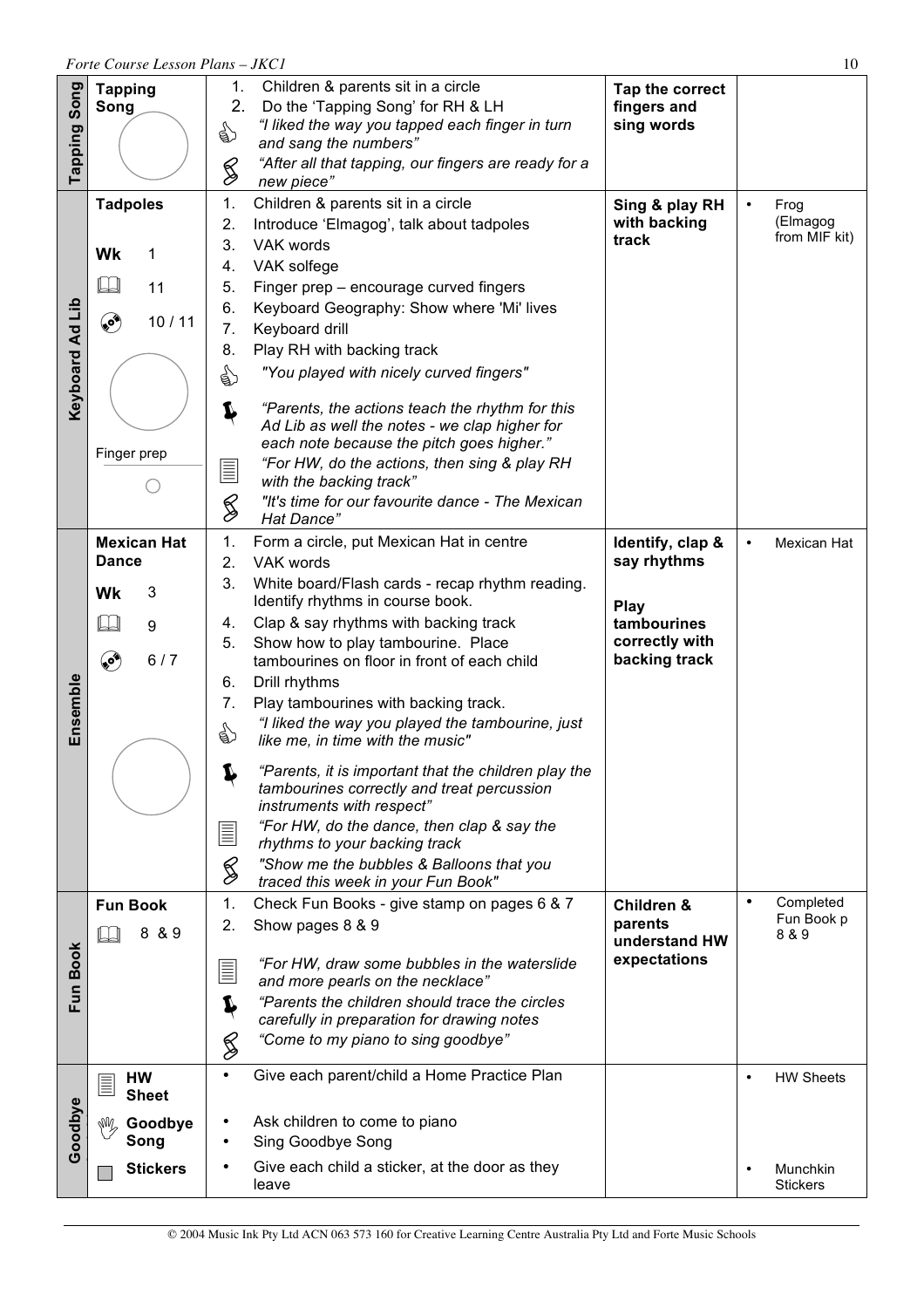|                 | 10<br>Forte Course Lesson Plans - JKC1                                     |                                                                                                                                                                                                                                                                                                                                                                                                                                                                                                                                                                                                                                                                                                                                                                                               |                                                                                           |                                                              |  |  |
|-----------------|----------------------------------------------------------------------------|-----------------------------------------------------------------------------------------------------------------------------------------------------------------------------------------------------------------------------------------------------------------------------------------------------------------------------------------------------------------------------------------------------------------------------------------------------------------------------------------------------------------------------------------------------------------------------------------------------------------------------------------------------------------------------------------------------------------------------------------------------------------------------------------------|-------------------------------------------------------------------------------------------|--------------------------------------------------------------|--|--|
| Song<br>Tapping | <b>Tapping</b><br>Song                                                     | 1.<br>Children & parents sit in a circle<br>2.<br>Do the 'Tapping Song' for RH & LH<br>"I liked the way you tapped each finger in turn<br>☝<br>and sang the numbers"<br>"After all that tapping, our fingers are ready for a<br>§<br>new piece"                                                                                                                                                                                                                                                                                                                                                                                                                                                                                                                                               | Tap the correct<br>fingers and<br>sing words                                              |                                                              |  |  |
| Keyboard Ad Lib | <b>Tadpoles</b><br>Wk<br>1<br>IJ<br>11<br>۴<br>10/11<br>Finger prep        | 1.<br>Children & parents sit in a circle<br>2.<br>Introduce 'Elmagog', talk about tadpoles<br>3.<br>VAK words<br>VAK solfege<br>4.<br>Finger prep - encourage curved fingers<br>5.<br>Keyboard Geography: Show where 'Mi' lives<br>6.<br>7.<br>Keyboard drill<br>Play RH with backing track<br>8.<br>"You played with nicely curved fingers"<br>☝<br>"Parents, the actions teach the rhythm for this<br>Ļ<br>Ad Lib as well the notes - we clap higher for<br>each note because the pitch goes higher."<br>"For HW, do the actions, then sing & play RH<br>$\equiv$<br>with the backing track"<br>S<br>"It's time for our favourite dance - The Mexican<br>Hat Dance"                                                                                                                         | Sing & play RH<br>with backing<br>track                                                   | Frog<br>(Elmagog<br>from MIF kit)                            |  |  |
| Ensemble        | <b>Mexican Hat</b><br><b>Dance</b><br>3<br>Wk<br>$\Box$<br>9<br>ی<br>6/7   | 1.<br>Form a circle, put Mexican Hat in centre<br>2.<br>VAK words<br>3.<br>White board/Flash cards - recap rhythm reading.<br>Identify rhythms in course book.<br>Clap & say rhythms with backing track<br>4.<br>Show how to play tambourine. Place<br>5.<br>tambourines on floor in front of each child<br>Drill rhythms<br>6.<br>7.<br>Play tambourines with backing track.<br>"I liked the way you played the tambourine, just<br>☝<br>like me, in time with the music"<br>"Parents, it is important that the children play the<br>T<br>tambourines correctly and treat percussion<br>instruments with respect"<br>"For HW, do the dance, then clap & say the<br>E<br>rhythms to your backing track<br>§<br>"Show me the bubbles & Balloons that you<br>traced this week in your Fun Book" | Identify, clap &<br>say rhythms<br>Play<br>tambourines<br>correctly with<br>backing track | Mexican Hat                                                  |  |  |
| Fun Book        | <b>Fun Book</b><br>& 9<br>8                                                | Check Fun Books - give stamp on pages 6 & 7<br>1.<br>Show pages 8 & 9<br>2.<br>"For HW, draw some bubbles in the waterslide<br>$\equiv$<br>and more pearls on the necklace"<br>"Parents the children should trace the circles"<br>carefully in preparation for drawing notes<br>"Come to my piano to sing goodbye"<br>S                                                                                                                                                                                                                                                                                                                                                                                                                                                                       | Children &<br>parents<br>understand HW<br>expectations                                    | $\bullet$<br>Completed<br>Fun Book p<br>8 & 9                |  |  |
| Goodbye         | HW<br>$\equiv$<br><b>Sheet</b><br>Goodbye<br>MÑ<br>Song<br><b>Stickers</b> | Give each parent/child a Home Practice Plan<br>Ask children to come to piano<br>٠<br>Sing Goodbye Song<br>Give each child a sticker, at the door as they<br>leave                                                                                                                                                                                                                                                                                                                                                                                                                                                                                                                                                                                                                             |                                                                                           | <b>HW Sheets</b><br>$\bullet$<br>Munchkin<br><b>Stickers</b> |  |  |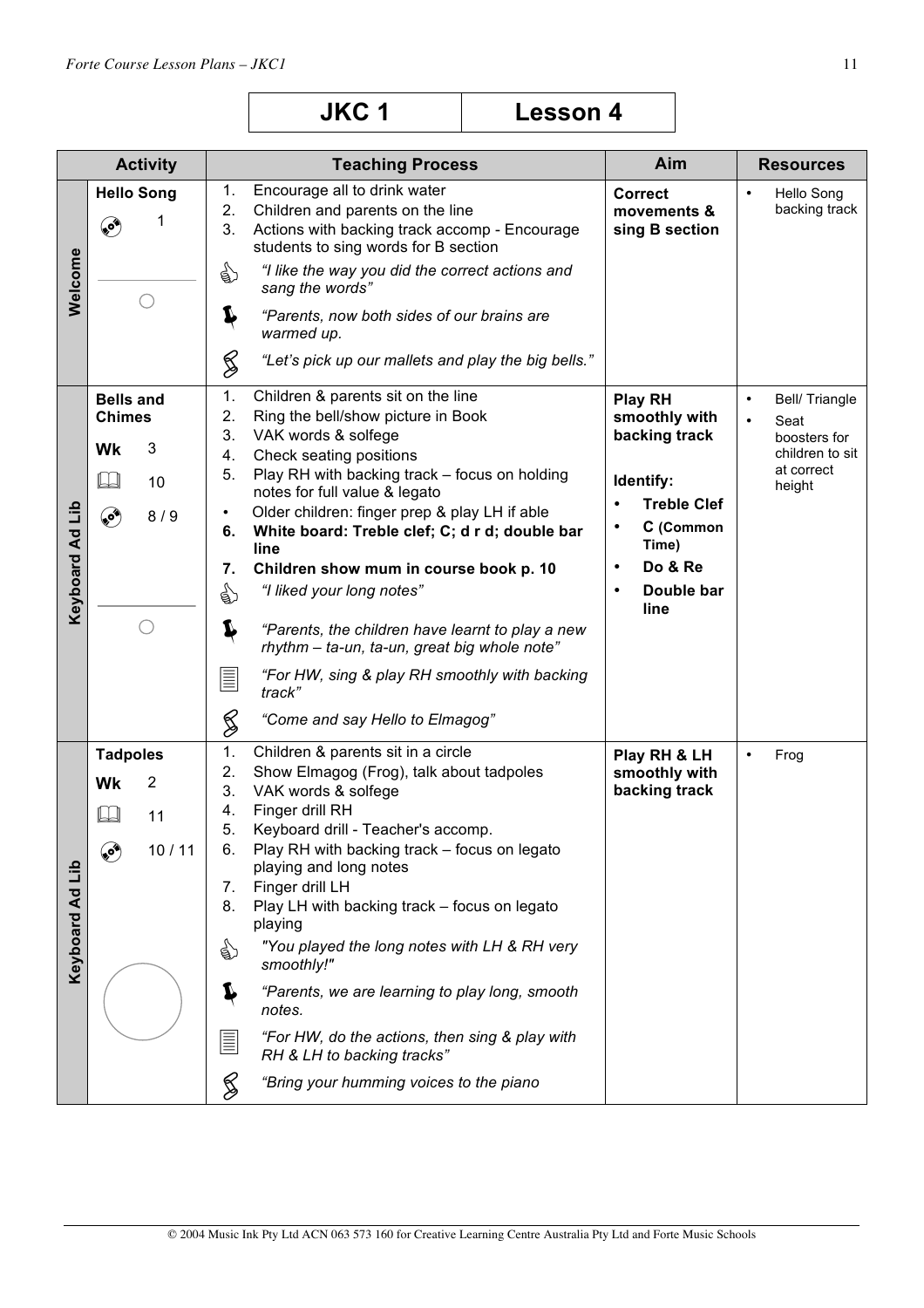| <b>JKC1</b> | <b>Lesson 4</b> |
|-------------|-----------------|
|-------------|-----------------|

|                    | <b>Activity</b>                                                              | <b>Teaching Process</b>                                                                                                                                                                                                                                                                                                                                                                                                                                                                                                                                                                                                                                                     | Aim                                                                                                                                                                                            | <b>Resources</b>                                                                                            |
|--------------------|------------------------------------------------------------------------------|-----------------------------------------------------------------------------------------------------------------------------------------------------------------------------------------------------------------------------------------------------------------------------------------------------------------------------------------------------------------------------------------------------------------------------------------------------------------------------------------------------------------------------------------------------------------------------------------------------------------------------------------------------------------------------|------------------------------------------------------------------------------------------------------------------------------------------------------------------------------------------------|-------------------------------------------------------------------------------------------------------------|
| Welcome            | <b>Hello Song</b><br>1<br>⊛                                                  | Encourage all to drink water<br>1.<br>2.<br>Children and parents on the line<br>3.<br>Actions with backing track accomp - Encourage<br>students to sing words for B section<br>☝<br>"I like the way you did the correct actions and<br>sang the words"<br>Ļ<br>"Parents, now both sides of our brains are<br>warmed up.<br>S<br>"Let's pick up our mallets and play the big bells."                                                                                                                                                                                                                                                                                         | <b>Correct</b><br>movements &<br>sing B section                                                                                                                                                | <b>Hello Song</b><br>$\bullet$<br>backing track                                                             |
| Keyboard Ad Lib    | <b>Bells and</b><br><b>Chimes</b><br>3<br>Wk<br>IJ<br>10<br>ی<br>8/9         | Children & parents sit on the line<br>1.<br>2.<br>Ring the bell/show picture in Book<br>3.<br>VAK words & solfege<br>Check seating positions<br>4.<br>Play RH with backing track - focus on holding<br>5.<br>notes for full value & legato<br>Older children: finger prep & play LH if able<br>$\bullet$<br>White board: Treble clef; C; d r d; double bar<br>6.<br>line<br>Children show mum in course book p. 10<br>7.<br>€<br>"I liked your long notes"<br>Ļ<br>"Parents, the children have learnt to play a new<br>rhythm - ta-un, ta-un, great big whole note"<br>"For HW, sing & play RH smoothly with backing<br>E<br>track"<br>§<br>"Come and say Hello to Elmagog" | <b>Play RH</b><br>smoothly with<br>backing track<br>Identify:<br><b>Treble Clef</b><br>$\bullet$<br>C (Common<br>$\bullet$<br>Time)<br>Do & Re<br>$\bullet$<br>Double bar<br>$\bullet$<br>line | Bell/ Triangle<br>$\bullet$<br>Seat<br>$\bullet$<br>boosters for<br>children to sit<br>at correct<br>height |
| qri<br>Keyboard Ad | <b>Tadpoles</b><br>$\overline{2}$<br>Wk<br>LJ<br>11<br>$\mathbf{e}$<br>10/11 | 1.<br>Children & parents sit in a circle<br>2.<br>Show Elmagog (Frog), talk about tadpoles<br>3.<br>VAK words & solfege<br>Finger drill RH<br>4.<br>5.<br>Keyboard drill - Teacher's accomp.<br>Play RH with backing track - focus on legato<br>6.<br>playing and long notes<br>Finger drill LH<br>7.<br>Play LH with backing track - focus on legato<br>8.<br>playing<br>"You played the long notes with LH & RH very<br>बै<br>smoothly!"<br>Ļ<br>"Parents, we are learning to play long, smooth<br>notes.<br>E<br>"For HW, do the actions, then sing & play with<br>RH & LH to backing tracks"<br>$\,\mathbb{S}\,$<br>"Bring your humming voices to the piano             | Play RH & LH<br>smoothly with<br>backing track                                                                                                                                                 | Frog<br>٠                                                                                                   |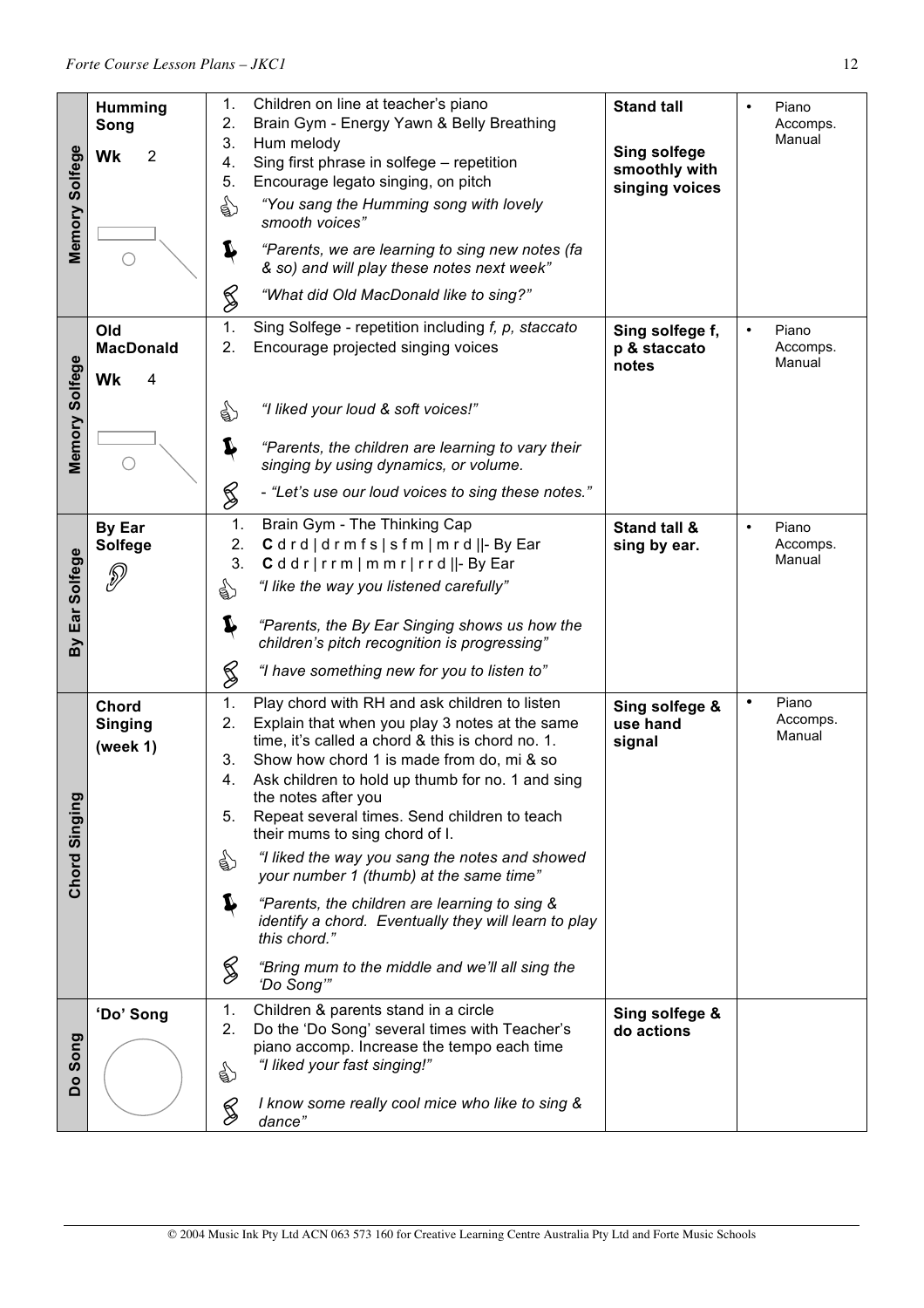|                | <b>Humming</b>       | 1.       | Children on line at teacher's piano                                                           | <b>Stand tall</b>   | Piano<br>Accomps.  |
|----------------|----------------------|----------|-----------------------------------------------------------------------------------------------|---------------------|--------------------|
|                | Song                 | 2.<br>3. | Brain Gym - Energy Yawn & Belly Breathing<br>Hum melody                                       |                     | Manual             |
| Memory Solfege | $\overline{2}$<br>Wk | 4.       | Sing first phrase in solfege - repetition                                                     | <b>Sing solfege</b> |                    |
|                |                      | 5.       | Encourage legato singing, on pitch                                                            | smoothly with       |                    |
|                |                      |          | "You sang the Humming song with lovely                                                        | singing voices      |                    |
|                |                      | ☝        | smooth voices"                                                                                |                     |                    |
|                |                      |          |                                                                                               |                     |                    |
|                |                      | I        | "Parents, we are learning to sing new notes (fa<br>& so) and will play these notes next week" |                     |                    |
|                |                      |          |                                                                                               |                     |                    |
|                |                      | S        | "What did Old MacDonald like to sing?"                                                        |                     |                    |
|                | Old                  | 1.       | Sing Solfege - repetition including f, p, staccato                                            | Sing solfege f,     | Piano<br>$\bullet$ |
|                | <b>MacDonald</b>     | 2.       | Encourage projected singing voices                                                            | p & staccato        | Accomps.           |
|                |                      |          |                                                                                               | notes               | Manual             |
| Memory Solfege | Wk<br>4              |          |                                                                                               |                     |                    |
|                |                      | ☝        | "I liked your loud & soft voices!"                                                            |                     |                    |
|                |                      |          |                                                                                               |                     |                    |
|                |                      | Ļ        | "Parents, the children are learning to vary their                                             |                     |                    |
|                | ( )                  |          | singing by using dynamics, or volume.                                                         |                     |                    |
|                |                      | S        | - "Let's use our loud voices to sing these notes."                                            |                     |                    |
|                | <b>By Ear</b>        | 1.       | Brain Gym - The Thinking Cap                                                                  | Stand tall &        | Piano<br>$\bullet$ |
| Ear Solfege    | <b>Solfege</b>       | 2.       | Cdrd drmfs sfm mrd  -ByEar                                                                    | sing by ear.        | Accomps.           |
|                |                      | 3.       | Cddr rrm mmr rrd  -ByEar                                                                      |                     | Manual             |
|                | P                    | ☝        | "I like the way you listened carefully"                                                       |                     |                    |
|                |                      |          |                                                                                               |                     |                    |
|                |                      | Í        | "Parents, the By Ear Singing shows us how the                                                 |                     |                    |
| By             |                      |          | children's pitch recognition is progressing"                                                  |                     |                    |
|                |                      | S        | "I have something new for you to listen to"                                                   |                     |                    |
|                | Chord                | 1.       | Play chord with RH and ask children to listen                                                 | Sing solfege &      | Piano<br>$\bullet$ |
|                | <b>Singing</b>       | 2.       | Explain that when you play 3 notes at the same                                                | use hand            | Accomps.           |
|                | (week $1$ )          |          | time, it's called a chord & this is chord no. 1.                                              | signal              | Manual             |
|                |                      | 3.       | Show how chord 1 is made from do, mi & so                                                     |                     |                    |
|                |                      | 4        | Ask children to hold up thumb for no. 1 and sing                                              |                     |                    |
|                |                      | 5.       | the notes after you<br>Repeat several times. Send children to teach                           |                     |                    |
|                |                      |          | their mums to sing chord of I.                                                                |                     |                    |
|                |                      | ड़ी)     | "I liked the way you sang the notes and showed                                                |                     |                    |
| Chord Singing  |                      |          | your number 1 (thumb) at the same time"                                                       |                     |                    |
|                |                      |          | "Parents, the children are learning to sing &                                                 |                     |                    |
|                |                      |          | identify a chord. Eventually they will learn to play                                          |                     |                    |
|                |                      |          | this chord."                                                                                  |                     |                    |
|                |                      | $\%$     | "Bring mum to the middle and we'll all sing the                                               |                     |                    |
|                |                      |          | 'Do Song"                                                                                     |                     |                    |
|                | 'Do' Song            | 1.       | Children & parents stand in a circle                                                          | Sing solfege &      |                    |
|                |                      | 2.       | Do the 'Do Song' several times with Teacher's                                                 | do actions          |                    |
| Song           |                      |          | piano accomp. Increase the tempo each time                                                    |                     |                    |
|                |                      | €        | "I liked your fast singing!"                                                                  |                     |                    |
| oq             |                      |          |                                                                                               |                     |                    |
|                |                      | S        | I know some really cool mice who like to sing &<br>dance"                                     |                     |                    |
|                |                      |          |                                                                                               |                     |                    |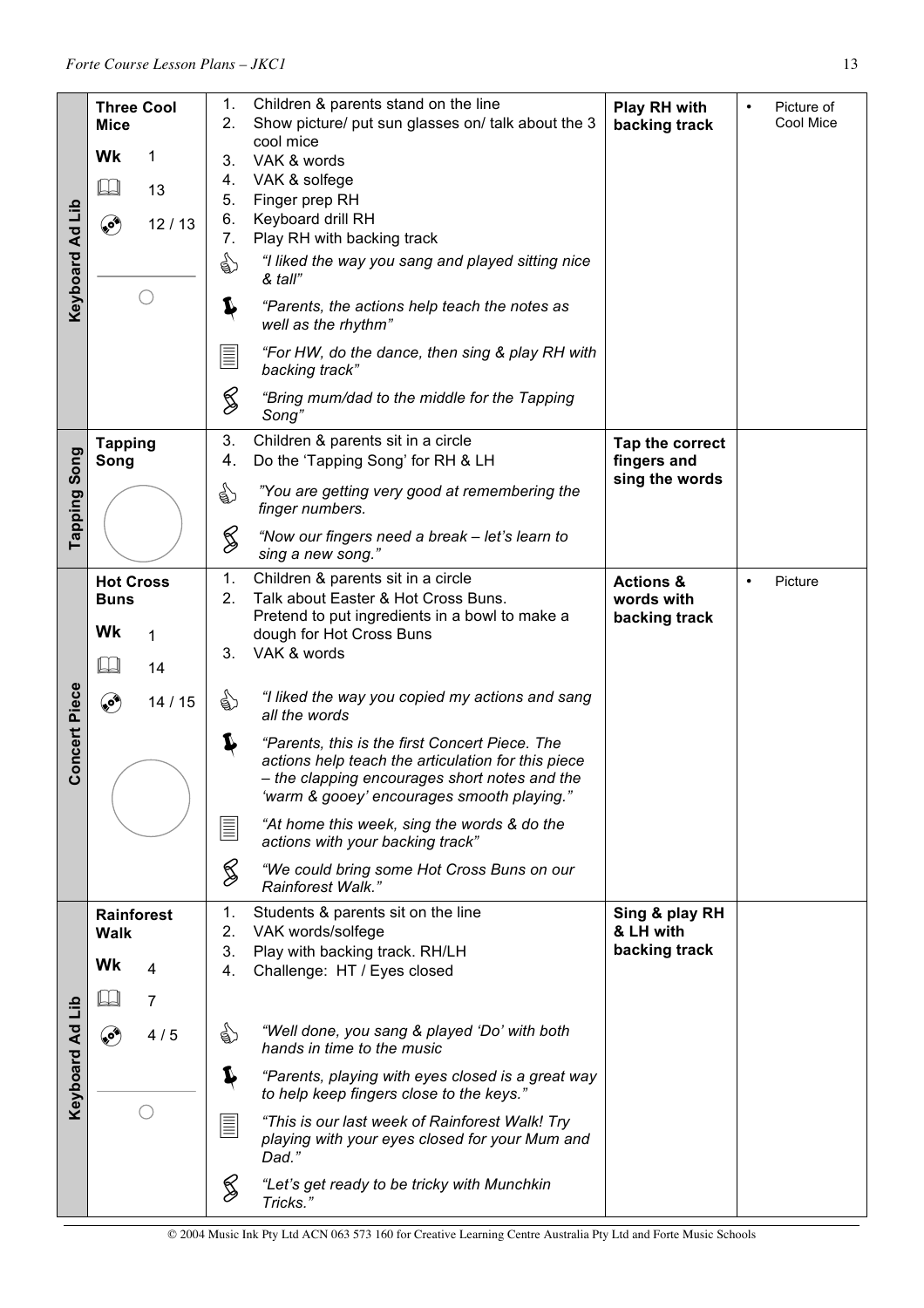|                 | <b>Three Cool</b>               | 1.           | Children & parents stand on the line                                                                                                                                                                | Play RH with                       | Picture of<br>$\bullet$ |
|-----------------|---------------------------------|--------------|-----------------------------------------------------------------------------------------------------------------------------------------------------------------------------------------------------|------------------------------------|-------------------------|
|                 | <b>Mice</b>                     | 2.           | Show picture/ put sun glasses on/ talk about the 3<br>cool mice                                                                                                                                     | backing track                      | Cool Mice               |
|                 | 1<br>Wk                         | 3.           | VAK & words                                                                                                                                                                                         |                                    |                         |
|                 | $\Box$<br>13                    | 4.<br>5.     | VAK & solfege<br>Finger prep RH                                                                                                                                                                     |                                    |                         |
|                 | ۹<br>12/13                      | 6.           | Keyboard drill RH                                                                                                                                                                                   |                                    |                         |
|                 |                                 | 7.           | Play RH with backing track                                                                                                                                                                          |                                    |                         |
| Keyboard Ad Lib |                                 | ☝            | "I liked the way you sang and played sitting nice<br>& tall"                                                                                                                                        |                                    |                         |
|                 |                                 | Ļ            | "Parents, the actions help teach the notes as<br>well as the rhythm"                                                                                                                                |                                    |                         |
|                 |                                 | $\equiv$     | "For HW, do the dance, then sing & play RH with<br>backing track"                                                                                                                                   |                                    |                         |
|                 |                                 | S            | "Bring mum/dad to the middle for the Tapping<br>Song"                                                                                                                                               |                                    |                         |
|                 | <b>Tapping</b>                  | 3.           | Children & parents sit in a circle                                                                                                                                                                  | Tap the correct                    |                         |
| Song            | Song                            | 4.           | Do the 'Tapping Song' for RH & LH                                                                                                                                                                   | fingers and<br>sing the words      |                         |
| Tapping         |                                 | €            | "You are getting very good at remembering the<br>finger numbers.                                                                                                                                    |                                    |                         |
|                 |                                 | $\bigotimes$ | "Now our fingers need a break - let's learn to<br>sing a new song."                                                                                                                                 |                                    |                         |
|                 | <b>Hot Cross</b><br><b>Buns</b> | 1.<br>2.     | Children & parents sit in a circle<br>Talk about Easter & Hot Cross Buns.                                                                                                                           | <b>Actions &amp;</b><br>words with | Picture<br>$\bullet$    |
|                 |                                 |              | Pretend to put ingredients in a bowl to make a                                                                                                                                                      | backing track                      |                         |
|                 | Wk<br>1                         | 3.           | dough for Hot Cross Buns<br>VAK & words                                                                                                                                                             |                                    |                         |
|                 | $\Box$<br>14                    |              |                                                                                                                                                                                                     |                                    |                         |
|                 | ❤<br>14/15                      | ९७           | "I liked the way you copied my actions and sang<br>all the words                                                                                                                                    |                                    |                         |
| Concert Piece   |                                 | ₽            | "Parents, this is the first Concert Piece. The<br>actions help teach the articulation for this piece<br>- the clapping encourages short notes and the<br>'warm & gooey' encourages smooth playing." |                                    |                         |
|                 |                                 | IIII         | "At home this week, sing the words & do the<br>actions with your backing track"                                                                                                                     |                                    |                         |
|                 |                                 | S            | "We could bring some Hot Cross Buns on our<br>Rainforest Walk."                                                                                                                                     |                                    |                         |
|                 | Rainforest<br><b>Walk</b>       | 1.<br>2.     | Students & parents sit on the line<br>VAK words/solfege                                                                                                                                             | Sing & play RH<br>& LH with        |                         |
|                 |                                 | 3.           | Play with backing track. RH/LH                                                                                                                                                                      | backing track                      |                         |
|                 | Wk<br>4                         | 4.           | Challenge: HT / Eyes closed                                                                                                                                                                         |                                    |                         |
|                 | 7                               |              |                                                                                                                                                                                                     |                                    |                         |
|                 | <b>کی</b><br>4/5                | €            | "Well done, you sang & played 'Do' with both<br>hands in time to the music                                                                                                                          |                                    |                         |
| Keyboard Ad Lib |                                 | Ļ            | "Parents, playing with eyes closed is a great way<br>to help keep fingers close to the keys."                                                                                                       |                                    |                         |
|                 |                                 | E            | "This is our last week of Rainforest Walk! Try<br>playing with your eyes closed for your Mum and<br>Dad."                                                                                           |                                    |                         |
|                 |                                 | $\bigotimes$ | "Let's get ready to be tricky with Munchkin<br>Tricks."                                                                                                                                             |                                    |                         |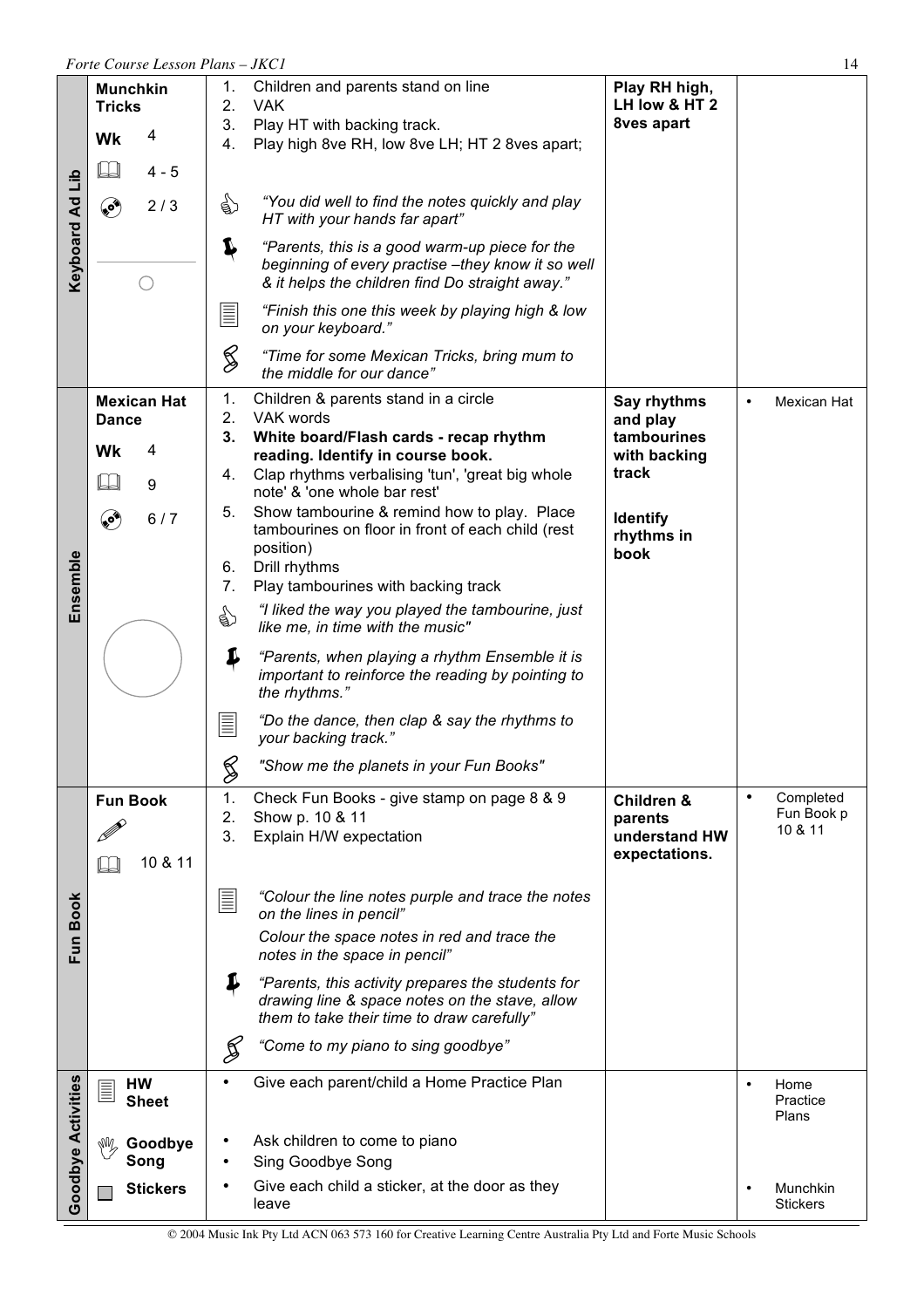|                           | Forte Course Lesson Plans - JKC1<br>14      |                                                                                                                                                             |                                                         |                                                 |  |  |
|---------------------------|---------------------------------------------|-------------------------------------------------------------------------------------------------------------------------------------------------------------|---------------------------------------------------------|-------------------------------------------------|--|--|
|                           | <b>Munchkin</b><br><b>Tricks</b><br>4<br>Wk | 1.<br>Children and parents stand on line<br><b>VAK</b><br>2.<br>3.<br>Play HT with backing track.                                                           | Play RH high,<br>LH low & HT 2<br>8ves apart            |                                                 |  |  |
|                           | $4 - 5$                                     | Play high 8ve RH, low 8ve LH; HT 2 8ves apart;<br>4.                                                                                                        |                                                         |                                                 |  |  |
| Keyboard Ad Lib           | ی<br>2/3                                    | "You did well to find the notes quickly and play<br>€<br>HT with your hands far apart"                                                                      |                                                         |                                                 |  |  |
|                           |                                             | Ļ<br>"Parents, this is a good warm-up piece for the<br>beginning of every practise -they know it so well<br>& it helps the children find Do straight away." |                                                         |                                                 |  |  |
|                           |                                             | "Finish this one this week by playing high & low<br>$\equiv$<br>on your keyboard."                                                                          |                                                         |                                                 |  |  |
|                           |                                             | S<br>"Time for some Mexican Tricks, bring mum to<br>the middle for our dance"                                                                               |                                                         |                                                 |  |  |
|                           | <b>Mexican Hat</b><br><b>Dance</b>          | 1.<br>Children & parents stand in a circle<br>VAK words<br>2.                                                                                               | Say rhythms<br>and play                                 | Mexican Hat<br>$\bullet$                        |  |  |
|                           | Wk<br>4                                     | 3.<br>White board/Flash cards - recap rhythm<br>reading. Identify in course book.                                                                           | tambourines<br>with backing                             |                                                 |  |  |
|                           | $\Box$<br>$\boldsymbol{9}$                  | Clap rhythms verbalising 'tun', 'great big whole<br>4.<br>note' & 'one whole bar rest'                                                                      | track                                                   |                                                 |  |  |
| Ensemble                  | ۴<br>6/7                                    | Show tambourine & remind how to play. Place<br>5.<br>tambourines on floor in front of each child (rest<br>position)<br>Drill rhythms<br>6.                  | <b>Identify</b><br>rhythms in<br>book                   |                                                 |  |  |
|                           |                                             | 7.<br>Play tambourines with backing track                                                                                                                   |                                                         |                                                 |  |  |
|                           |                                             | "I liked the way you played the tambourine, just<br>€<br>like me, in time with the music"                                                                   |                                                         |                                                 |  |  |
|                           |                                             | ₽<br>"Parents, when playing a rhythm Ensemble it is<br>important to reinforce the reading by pointing to<br>the rhythms."                                   |                                                         |                                                 |  |  |
|                           |                                             | "Do the dance, then clap & say the rhythms to<br>I<br>your backing track."                                                                                  |                                                         |                                                 |  |  |
|                           |                                             | §<br>"Show me the planets in your Fun Books"                                                                                                                |                                                         |                                                 |  |  |
|                           | <b>Fun Book</b><br>10 & 11                  | 1.<br>Check Fun Books - give stamp on page 8 & 9<br>2.<br>Show p. 10 & 11<br>Explain H/W expectation<br>3.                                                  | Children &<br>parents<br>understand HW<br>expectations. | Completed<br>$\bullet$<br>Fun Book p<br>10 & 11 |  |  |
|                           |                                             | $\equiv$<br>"Colour the line notes purple and trace the notes<br>on the lines in pencil"                                                                    |                                                         |                                                 |  |  |
| Fun Book                  |                                             | Colour the space notes in red and trace the<br>notes in the space in pencil"                                                                                |                                                         |                                                 |  |  |
|                           |                                             | J<br>"Parents, this activity prepares the students for<br>drawing line & space notes on the stave, allow<br>them to take their time to draw carefully"      |                                                         |                                                 |  |  |
|                           |                                             | Þ<br>"Come to my piano to sing goodbye"                                                                                                                     |                                                         |                                                 |  |  |
| <b>Goodbye Activities</b> | HW<br>$\equiv$<br><b>Sheet</b>              | Give each parent/child a Home Practice Plan<br>$\bullet$                                                                                                    |                                                         | Home<br>Practice<br>Plans                       |  |  |
|                           | Goodbye<br>₩<br>Song                        | Ask children to come to piano<br>Sing Goodbye Song                                                                                                          |                                                         |                                                 |  |  |
|                           | <b>Stickers</b>                             | Give each child a sticker, at the door as they<br>leave                                                                                                     |                                                         | Munchkin<br><b>Stickers</b>                     |  |  |

© 2004 Music Ink Pty Ltd ACN 063 573 160 for Creative Learning Centre Australia Pty Ltd and Forte Music Schools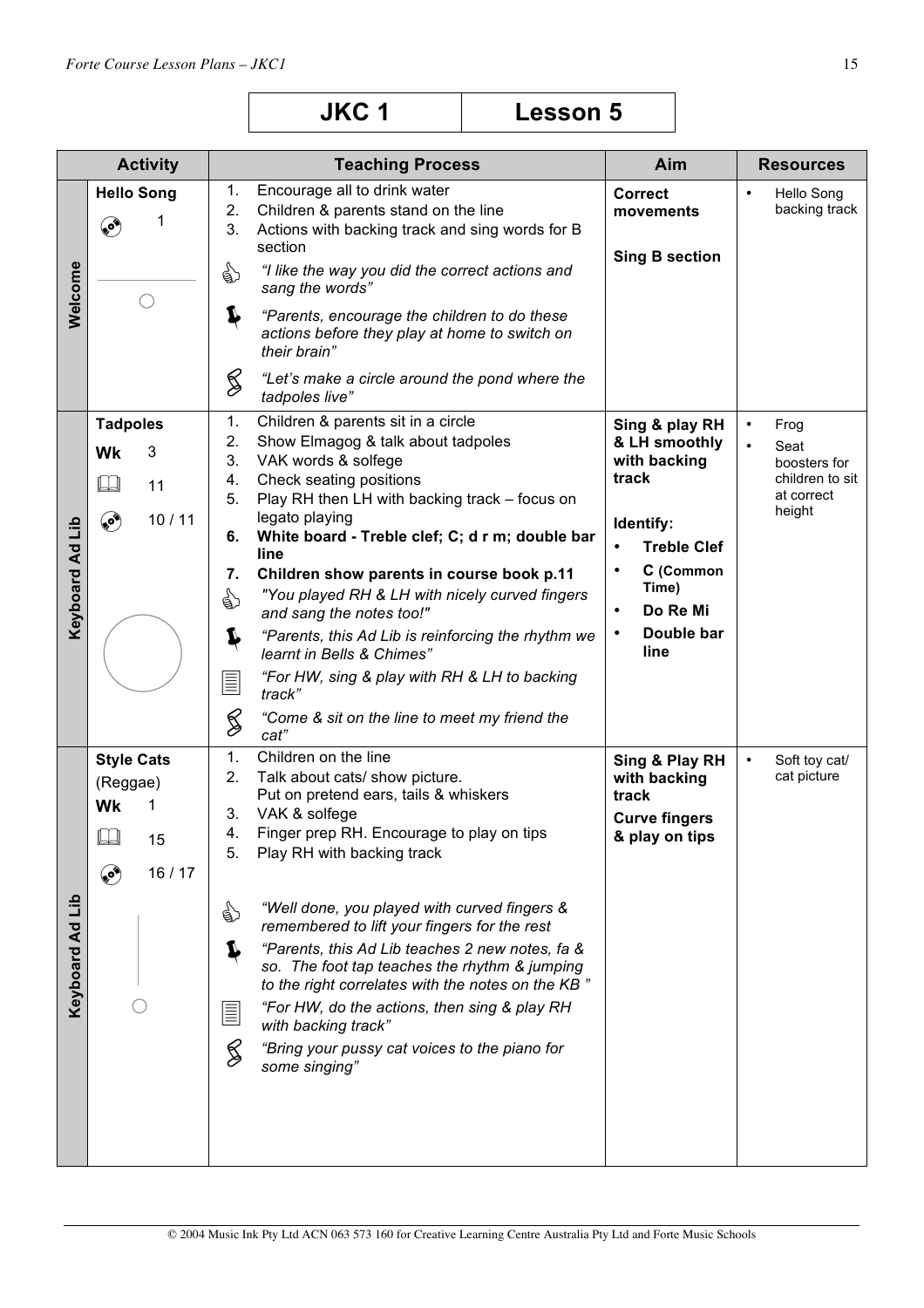|                                 | <b>Activity</b>                                                        | <b>Teaching Process</b>                                                                                                                                                                                                                                                                                                                                                                                                                                                                                                                                                                                                                                        | Aim                                                                                                                                                                                        | <b>Resources</b>                                                                                  |
|---------------------------------|------------------------------------------------------------------------|----------------------------------------------------------------------------------------------------------------------------------------------------------------------------------------------------------------------------------------------------------------------------------------------------------------------------------------------------------------------------------------------------------------------------------------------------------------------------------------------------------------------------------------------------------------------------------------------------------------------------------------------------------------|--------------------------------------------------------------------------------------------------------------------------------------------------------------------------------------------|---------------------------------------------------------------------------------------------------|
| Welcome                         | <b>Hello Song</b><br>1<br>۴                                            | Encourage all to drink water<br>1.<br>2.<br>Children & parents stand on the line<br>Actions with backing track and sing words for B<br>3.<br>section<br>"I like the way you did the correct actions and<br>☝<br>sang the words"<br>I<br>"Parents, encourage the children to do these<br>actions before they play at home to switch on<br>their brain"<br>Z<br>"Let's make a circle around the pond where the<br>tadpoles live"                                                                                                                                                                                                                                 | <b>Correct</b><br>movements<br><b>Sing B section</b>                                                                                                                                       | Hello Song<br>$\bullet$<br>backing track                                                          |
| Keyboard Ad Lib                 | <b>Tadpoles</b><br>Wk<br>3<br>$\Box$<br>11<br>ی<br>10/11               | Children & parents sit in a circle<br>1.<br>2.<br>Show Elmagog & talk about tadpoles<br>3.<br>VAK words & solfege<br>Check seating positions<br>4.<br>Play RH then LH with backing track - focus on<br>5.<br>legato playing<br>White board - Treble clef; C; d r m; double bar<br>6.<br>line<br>Children show parents in course book p.11<br>7.<br>"You played RH & LH with nicely curved fingers<br>☝<br>and sang the notes too!"<br>"Parents, this Ad Lib is reinforcing the rhythm we<br>L<br>learnt in Bells & Chimes"<br>"For HW, sing & play with RH & LH to backing<br>$\equiv$<br>track"<br>S<br>"Come & sit on the line to meet my friend the<br>cat" | Sing & play RH<br>& LH smoothly<br>with backing<br>track<br>Identify:<br><b>Treble Clef</b><br>$\bullet$<br>C (Common<br>Time)<br>Do Re Mi<br>$\bullet$<br>Double bar<br>$\bullet$<br>line | Frog<br>$\bullet$<br>Seat<br>$\bullet$<br>boosters for<br>children to sit<br>at correct<br>height |
| dil<br>$\mathbf{A}$<br>Keyboard | <b>Style Cats</b><br>(Reggae)<br>Wk<br>1<br>$\Box$<br>15<br>16/17<br>❤ | 1.<br>Children on the line<br>2.<br>Talk about cats/ show picture.<br>Put on pretend ears, tails & whiskers<br>VAK & solfege<br>3.<br>Finger prep RH. Encourage to play on tips<br>4.<br>Play RH with backing track<br>5.<br>"Well done, you played with curved fingers &<br>९१<br>remembered to lift your fingers for the rest<br>"Parents, this Ad Lib teaches 2 new notes, fa &<br>so. The foot tap teaches the rhythm & jumping<br>to the right correlates with the notes on the KB"<br>"For HW, do the actions, then sing & play RH<br>$\equiv$<br>with backing track"<br>$\frac{2}{3}$<br>"Bring your pussy cat voices to the piano for<br>some singing" | Sing & Play RH<br>with backing<br>track<br><b>Curve fingers</b><br>& play on tips                                                                                                          | Soft toy cat/<br>$\bullet$<br>cat picture                                                         |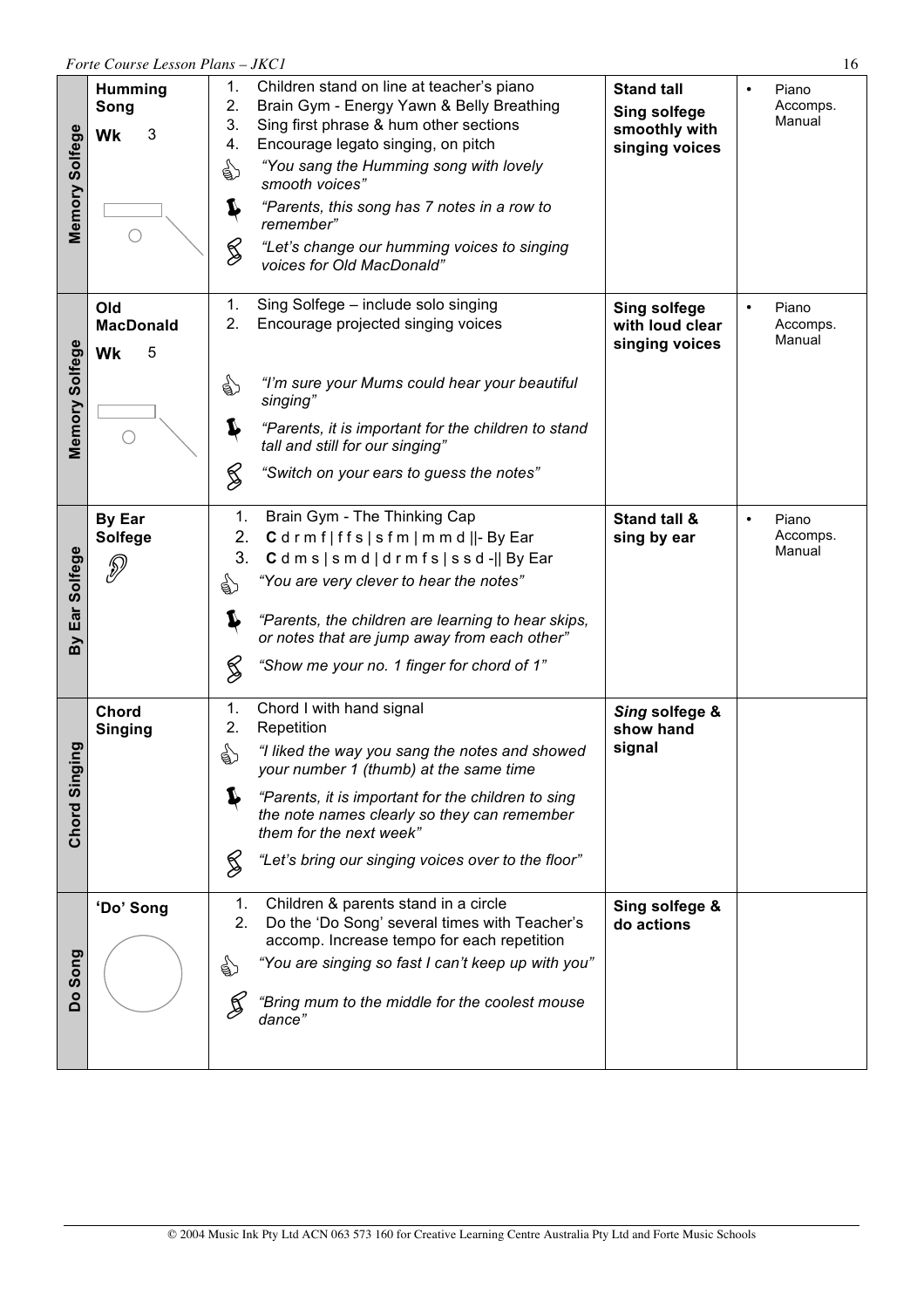|                    | Forte Course Lesson Plans - JKC1<br>16   |                                                                                                                                                                                                                                                                                                                                                                                                                   |                                                                             |                                          |  |  |  |
|--------------------|------------------------------------------|-------------------------------------------------------------------------------------------------------------------------------------------------------------------------------------------------------------------------------------------------------------------------------------------------------------------------------------------------------------------------------------------------------------------|-----------------------------------------------------------------------------|------------------------------------------|--|--|--|
| Memory Solfege     | <b>Humming</b><br>Song<br>3<br><b>Wk</b> | 1.<br>Children stand on line at teacher's piano<br>2.<br>Brain Gym - Energy Yawn & Belly Breathing<br>Sing first phrase & hum other sections<br>3.<br>4.<br>Encourage legato singing, on pitch<br>"You sang the Humming song with lovely<br>☝<br>smooth voices"<br>"Parents, this song has 7 notes in a row to<br>T<br>remember"<br>§<br>"Let's change our humming voices to singing<br>voices for Old MacDonald" | <b>Stand tall</b><br><b>Sing solfege</b><br>smoothly with<br>singing voices | Piano<br>$\bullet$<br>Accomps.<br>Manual |  |  |  |
| Memory Solfege     | Old<br><b>MacDonald</b><br>5<br>Wk       | Sing Solfege - include solo singing<br>1.<br>2.<br>Encourage projected singing voices<br>"I'm sure your Mums could hear your beautiful<br>☝<br>singing"<br>L<br>"Parents, it is important for the children to stand<br>tall and still for our singing"<br>§<br>"Switch on your ears to guess the notes"                                                                                                           | <b>Sing solfege</b><br>with loud clear<br>singing voices                    | Piano<br>$\bullet$<br>Accomps.<br>Manual |  |  |  |
| Ear Solfege<br>ΔŃ  | <b>By Ear</b><br><b>Solfege</b><br>P     | Brain Gym - The Thinking Cap<br>1.<br>2.<br>Cdrmf ffs sfm mmd  -ByEar<br>3.<br>Cdms   smd   drmfs   ssd-   By Ear<br>"You are very clever to hear the notes"<br>€<br>T<br>"Parents, the children are learning to hear skips,<br>or notes that are jump away from each other"<br>§<br>"Show me your no. 1 finger for chord of 1"                                                                                   | Stand tall &<br>sing by ear                                                 | Piano<br>$\bullet$<br>Accomps.<br>Manual |  |  |  |
| ρg<br>Chord Singir | <b>Chord</b><br>Singing                  | Chord I with hand signal<br>1.<br>2.<br>Repetition<br>☝<br>"I liked the way you sang the notes and showed<br>your number 1 (thumb) at the same time<br>"Parents, it is important for the children to sing<br>T<br>the note names clearly so they can remember<br>them for the next week"<br>≶<br>"Let's bring our singing voices over to the floor"                                                               | Sing solfege &<br>show hand<br>signal                                       |                                          |  |  |  |
| Song<br>å          | 'Do' Song                                | Children & parents stand in a circle<br>1.<br>Do the 'Do Song' several times with Teacher's<br>2.<br>accomp. Increase tempo for each repetition<br>"You are singing so fast I can't keep up with you"<br>€<br>"Bring mum to the middle for the coolest mouse<br>≸<br>dance"                                                                                                                                       | Sing solfege &<br>do actions                                                |                                          |  |  |  |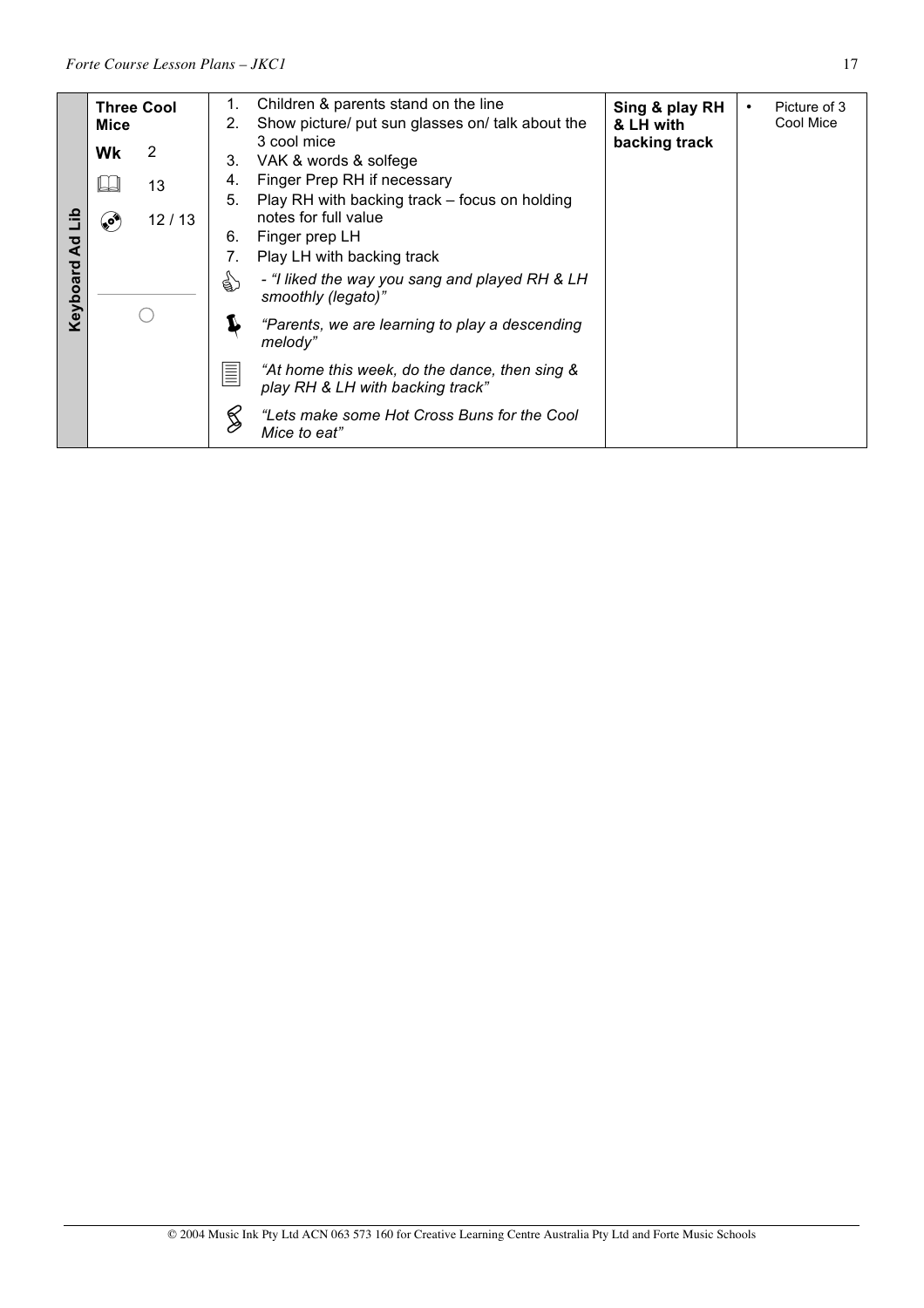|                                       | Mice                                               | <b>Three Cool</b>            | 1.<br>2.                                                                                                                                                                                                                                                             | Children & parents stand on the line<br>Show picture/ put sun glasses on/ talk about the                                                                                                                      | Sing & play RH<br>& LH with | Picture of 3<br>$\bullet$<br>Cool Mice |
|---------------------------------------|----------------------------------------------------|------------------------------|----------------------------------------------------------------------------------------------------------------------------------------------------------------------------------------------------------------------------------------------------------------------|---------------------------------------------------------------------------------------------------------------------------------------------------------------------------------------------------------------|-----------------------------|----------------------------------------|
| ءَ<br>ت<br>$\overline{a}$<br>Keyboard | 2<br><b>Wk</b><br>13<br>12/13<br>$\bullet^\bullet$ | 3.<br>4.<br>5.<br>6.<br>ट्री | 3 cool mice<br>VAK & words & solfege<br>Finger Prep RH if necessary<br>Play RH with backing track – focus on holding<br>notes for full value<br>Finger prep LH<br>Play LH with backing track<br>- "I liked the way you sang and played RH & LH<br>smoothly (legato)" | backing track                                                                                                                                                                                                 |                             |                                        |
|                                       |                                                    |                              | E<br>≶                                                                                                                                                                                                                                                               | "Parents, we are learning to play a descending<br>melody"<br>"At home this week, do the dance, then sing &<br>play RH & LH with backing track"<br>"Lets make some Hot Cross Buns for the Cool<br>Mice to eat" |                             |                                        |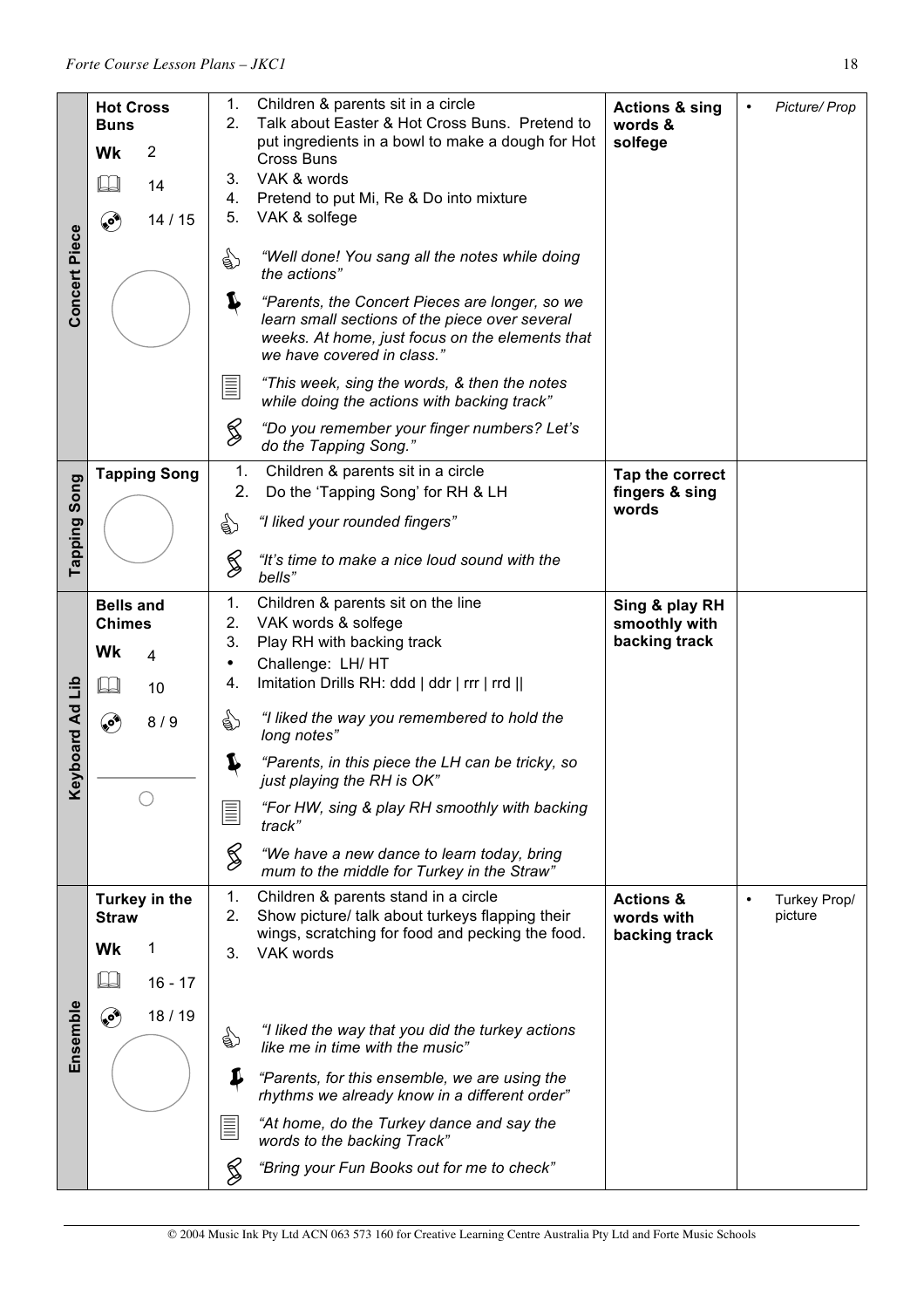|                      | <b>Hot Cross</b>              | 1.              | Children & parents sit in a circle                                                                                                                                                | <b>Actions &amp; sing</b>          | Picture/ Prop<br>$\bullet$           |
|----------------------|-------------------------------|-----------------|-----------------------------------------------------------------------------------------------------------------------------------------------------------------------------------|------------------------------------|--------------------------------------|
|                      | <b>Buns</b>                   | 2.              | Talk about Easter & Hot Cross Buns. Pretend to                                                                                                                                    | words &                            |                                      |
|                      | Wk<br>$\overline{2}$          |                 | put ingredients in a bowl to make a dough for Hot<br>Cross Buns                                                                                                                   | solfege                            |                                      |
|                      | $\Box$<br>14                  | 3.              | VAK & words                                                                                                                                                                       |                                    |                                      |
|                      |                               | 4.              | Pretend to put Mi, Re & Do into mixture                                                                                                                                           |                                    |                                      |
|                      | ۵<br>14/15                    | 5.              | VAK & solfege                                                                                                                                                                     |                                    |                                      |
| <b>Concert Piece</b> |                               | े हैं)          | "Well done! You sang all the notes while doing<br>the actions"                                                                                                                    |                                    |                                      |
|                      |                               | J               | "Parents, the Concert Pieces are longer, so we<br>learn small sections of the piece over several<br>weeks. At home, just focus on the elements that<br>we have covered in class." |                                    |                                      |
|                      |                               | $\equiv$        | "This week, sing the words, & then the notes<br>while doing the actions with backing track"                                                                                       |                                    |                                      |
|                      |                               | S               | "Do you remember your finger numbers? Let's<br>do the Tapping Song."                                                                                                              |                                    |                                      |
|                      | <b>Tapping Song</b>           | 1.<br>2.        | Children & parents sit in a circle<br>Do the 'Tapping Song' for RH & LH                                                                                                           | Tap the correct<br>fingers & sing  |                                      |
| Tapping Song         |                               | €               | "I liked your rounded fingers"                                                                                                                                                    | words                              |                                      |
|                      |                               | S               | "It's time to make a nice loud sound with the<br>bells"                                                                                                                           |                                    |                                      |
|                      | <b>Bells and</b>              | 1.              | Children & parents sit on the line                                                                                                                                                | Sing & play RH                     |                                      |
|                      | <b>Chimes</b>                 | 2.              | VAK words & solfege                                                                                                                                                               | smoothly with                      |                                      |
|                      | Wk<br>4                       | 3.              | Play RH with backing track                                                                                                                                                        | backing track                      |                                      |
|                      |                               | $\bullet$<br>4. | Challenge: LH/ HT<br>Imitation Drills RH: ddd   ddr   rrr   rrd                                                                                                                   |                                    |                                      |
| qi                   | 10                            |                 |                                                                                                                                                                                   |                                    |                                      |
|                      | ۹<br>8/9                      | ☝               | "I liked the way you remembered to hold the<br>long notes"                                                                                                                        |                                    |                                      |
| <b>Keyboard Ad</b>   |                               | J               | "Parents, in this piece the LH can be tricky, so<br>just playing the RH is OK"                                                                                                    |                                    |                                      |
|                      |                               | E               | "For HW, sing & play RH smoothly with backing<br>track"                                                                                                                           |                                    |                                      |
|                      |                               | S               | "We have a new dance to learn today, bring<br>mum to the middle for Turkey in the Straw"                                                                                          |                                    |                                      |
|                      | Turkey in the<br><b>Straw</b> | 1.<br>2.        | Children & parents stand in a circle<br>Show picture/ talk about turkeys flapping their                                                                                           | <b>Actions &amp;</b><br>words with | Turkey Prop/<br>$\bullet$<br>picture |
|                      | Wk<br>1                       | 3.              | wings, scratching for food and pecking the food.<br>VAK words                                                                                                                     | backing track                      |                                      |
|                      | IJ<br>$16 - 17$               |                 |                                                                                                                                                                                   |                                    |                                      |
| Ensemble             | کې<br>18/19                   | ☝               | "I liked the way that you did the turkey actions                                                                                                                                  |                                    |                                      |
|                      |                               | ₽               | like me in time with the music"<br>"Parents, for this ensemble, we are using the                                                                                                  |                                    |                                      |
|                      |                               |                 | rhythms we already know in a different order"                                                                                                                                     |                                    |                                      |
|                      |                               | $\equiv$        | "At home, do the Turkey dance and say the<br>words to the backing Track"                                                                                                          |                                    |                                      |
|                      |                               | ≶               | "Bring your Fun Books out for me to check"                                                                                                                                        |                                    |                                      |